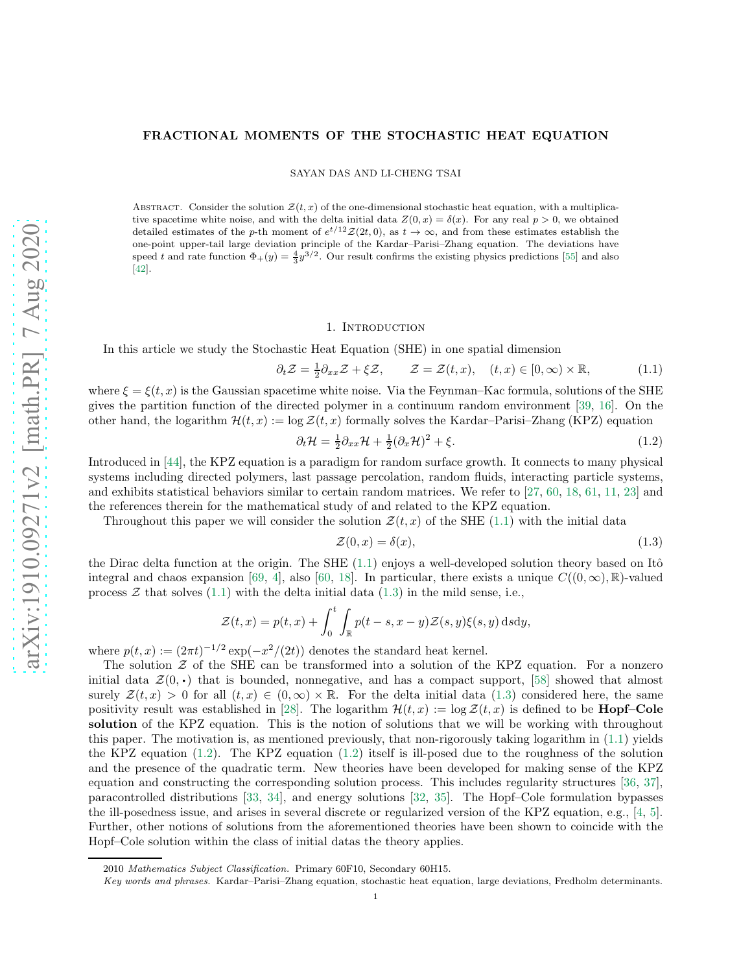## FRACTIONAL MOMENTS OF THE STOCHASTIC HEAT EQUATION

SAYAN DAS AND LI-CHENG TSAI

ABSTRACT. Consider the solution  $\mathcal{Z}(t, x)$  of the one-dimensional stochastic heat equation, with a multiplicative spacetime white noise, and with the delta initial data  $Z(0, x) = \delta(x)$ . For any real  $p > 0$ , we obtained detailed estimates of the p-th moment of  $e^{t/12}\mathcal{Z}(2t, 0)$ , as  $t \to \infty$ , and from these estimates establish the one-point upper-tail large deviation principle of the Kardar–Parisi–Zhang equation. The deviations have speed t and rate function  $\Phi_+(y) = \frac{4}{3}y^{3/2}$ . Our result confirms the existing physics predictions [\[55\]](#page-19-0) and also [\[42\]](#page-18-0).

## <span id="page-0-0"></span>1. INTRODUCTION

In this article we study the Stochastic Heat Equation (SHE) in one spatial dimension

 $\partial_t \mathcal{Z} = \frac{1}{2} \partial_{xx} \mathcal{Z} + \xi \mathcal{Z}, \qquad \mathcal{Z} = \mathcal{Z}(t, x), \quad (t, x) \in [0, \infty) \times \mathbb{R},$ (1.1)

where  $\xi = \xi(t, x)$  is the Gaussian spacetime white noise. Via the Feynman–Kac formula, solutions of the SHE gives the partition function of the directed polymer in a continuum random environment [\[39,](#page-18-1) [16\]](#page-18-2). On the other hand, the logarithm  $\mathcal{H}(t, x) := \log \mathcal{Z}(t, x)$  formally solves the Kardar–Parisi–Zhang (KPZ) equation

$$
\partial_t \mathcal{H} = \frac{1}{2} \partial_{xx} \mathcal{H} + \frac{1}{2} (\partial_x \mathcal{H})^2 + \xi. \tag{1.2}
$$

Introduced in [\[44\]](#page-18-3), the KPZ equation is a paradigm for random surface growth. It connects to many physical systems including directed polymers, last passage percolation, random fluids, interacting particle systems, and exhibits statistical behaviors similar to certain random matrices. We refer to [\[27,](#page-18-4) [60,](#page-19-1) [18,](#page-18-5) [61,](#page-19-2) [11,](#page-18-6) [23\]](#page-18-7) and the references therein for the mathematical study of and related to the KPZ equation.

Throughout this paper we will consider the solution  $\mathcal{Z}(t,x)$  of the SHE [\(1.1\)](#page-0-0) with the initial data

<span id="page-0-2"></span><span id="page-0-1"></span>
$$
\mathcal{Z}(0,x) = \delta(x),\tag{1.3}
$$

the Dirac delta function at the origin. The SHE  $(1.1)$  enjoys a well-developed solution theory based on Itô integral and chaos expansion [\[69,](#page-19-3) [4\]](#page-17-0), also [\[60,](#page-19-1) [18\]](#page-18-5). In particular, there exists a unique  $C((0,\infty),\mathbb{R})$ -valued process  $\mathcal Z$  that solves [\(1.1\)](#page-0-0) with the delta initial data [\(1.3\)](#page-0-1) in the mild sense, i.e.,

$$
\mathcal{Z}(t,x) = p(t,x) + \int_0^t \int_{\mathbb{R}} p(t-s,x-y) \mathcal{Z}(s,y) \xi(s,y) \,ds\mathrm{d}y,
$$

where  $p(t, x) := (2\pi t)^{-1/2} \exp(-x^2/(2t))$  denotes the standard heat kernel.

The solution  $\mathcal Z$  of the SHE can be transformed into a solution of the KPZ equation. For a nonzero initial data  $\mathcal{Z}(0, \cdot)$  that is bounded, nonnegative, and has a compact support, [\[58\]](#page-19-4) showed that almost surely  $\mathcal{Z}(t,x) > 0$  for all  $(t,x) \in (0,\infty) \times \mathbb{R}$ . For the delta initial data [\(1.3\)](#page-0-1) considered here, the same positivity result was established in [\[28\]](#page-18-8). The logarithm  $\mathcal{H}(t,x) := \log \mathcal{Z}(t,x)$  is defined to be **Hopf–Cole** solution of the KPZ equation. This is the notion of solutions that we will be working with throughout this paper. The motivation is, as mentioned previously, that non-rigorously taking logarithm in [\(1.1\)](#page-0-0) yields the KPZ equation [\(1.2\)](#page-0-2). The KPZ equation [\(1.2\)](#page-0-2) itself is ill-posed due to the roughness of the solution and the presence of the quadratic term. New theories have been developed for making sense of the KPZ equation and constructing the corresponding solution process. This includes regularity structures [\[36,](#page-18-9) [37\]](#page-18-10), paracontrolled distributions [\[33,](#page-18-11) [34\]](#page-18-12), and energy solutions [\[32,](#page-18-13) [35\]](#page-18-14). The Hopf–Cole formulation bypasses the ill-posedness issue, and arises in several discrete or regularized version of the KPZ equation, e.g., [\[4,](#page-17-0) [5\]](#page-17-1). Further, other notions of solutions from the aforementioned theories have been shown to coincide with the Hopf–Cole solution within the class of initial datas the theory applies.

<sup>2010</sup> *Mathematics Subject Classification.* Primary 60F10, Secondary 60H15.

*Key words and phrases.* Kardar–Parisi–Zhang equation, stochastic heat equation, large deviations, Fredholm determinants.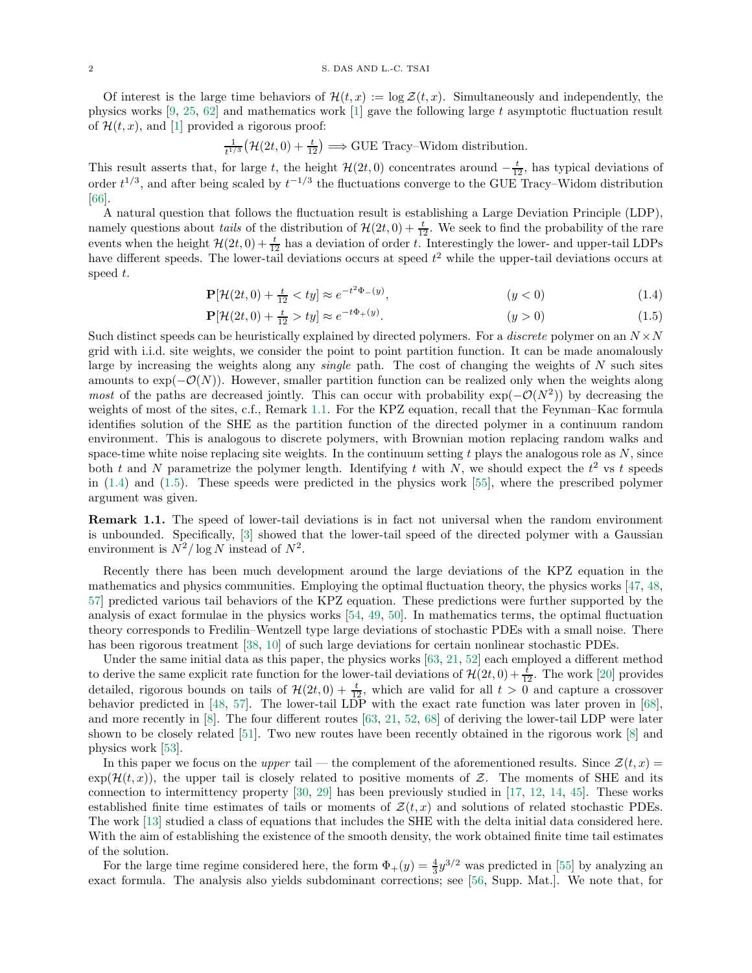Of interest is the large time behaviors of  $\mathcal{H}(t,x) := \log \mathcal{Z}(t,x)$ . Simultaneously and independently, the physics works [\[9,](#page-17-2) [25,](#page-18-15) [62\]](#page-19-5) and mathematics work [\[1\]](#page-17-3) gave the following large t asymptotic fluctuation result of  $\mathcal{H}(t, x)$ , and [\[1\]](#page-17-3) provided a rigorous proof:

$$
\frac{1}{t^{1/3}}\big(\mathcal{H}(2t,0)+\frac{t}{12}\big) \Longrightarrow \text{GUE Tracy-Widom distribution.}
$$

This result asserts that, for large t, the height  $\mathcal{H}(2t, 0)$  concentrates around  $-\frac{t}{12}$ , has typical deviations of order  $t^{1/3}$ , and after being scaled by  $t^{-1/3}$  the fluctuations converge to the GUE Tracy–Widom distribution [\[66\]](#page-19-6).

A natural question that follows the fluctuation result is establishing a Large Deviation Principle (LDP), namely questions about *tails* of the distribution of  $\mathcal{H}(2t, 0) + \frac{t}{12}$ . We seek to find the probability of the rare events when the height  $\mathcal{H}(2t, 0) + \frac{t}{12}$  has a deviation of order t. Interestingly the lower- and upper-tail LDPs have different speeds. The lower-tail deviations occurs at speed  $t^2$  while the upper-tail deviations occurs at speed t.

<span id="page-1-1"></span>
$$
\mathbf{P}[\mathcal{H}(2t,0) + \frac{t}{12} < ty] \approx e^{-t^2 \Phi_{-}(y)}, \tag{1.4}
$$

<span id="page-1-2"></span>
$$
\mathbf{P}[\mathcal{H}(2t,0) + \frac{t}{12} > ty] \approx e^{-t\Phi_+(y)}.\tag{1.5}
$$

Such distinct speeds can be heuristically explained by directed polymers. For a *discrete* polymer on an  $N \times N$ grid with i.i.d. site weights, we consider the point to point partition function. It can be made anomalously large by increasing the weights along any *single* path. The cost of changing the weights of  $N$  such sites amounts to  $\exp(-\mathcal{O}(N))$ . However, smaller partition function can be realized only when the weights along most of the paths are decreased jointly. This can occur with probability  $\exp(-\mathcal{O}(N^2))$  by decreasing the weights of most of the sites, c.f., Remark [1.1.](#page-1-0) For the KPZ equation, recall that the Feynman–Kac formula identifies solution of the SHE as the partition function of the directed polymer in a continuum random environment. This is analogous to discrete polymers, with Brownian motion replacing random walks and space-time white noise replacing site weights. In the continuum setting  $t$  plays the analogous role as  $N$ , since both t and N parametrize the polymer length. Identifying t with N, we should expect the  $t^2$  vs t speeds in [\(1.4\)](#page-1-1) and [\(1.5\)](#page-1-2). These speeds were predicted in the physics work [\[55\]](#page-19-0), where the prescribed polymer argument was given.

<span id="page-1-0"></span>Remark 1.1. The speed of lower-tail deviations is in fact not universal when the random environment is unbounded. Specifically, [\[3\]](#page-17-4) showed that the lower-tail speed of the directed polymer with a Gaussian environment is  $N^2/\log N$  instead of  $N^2$ .

Recently there has been much development around the large deviations of the KPZ equation in the mathematics and physics communities. Employing the optimal fluctuation theory, the physics works [\[47,](#page-18-16) [48,](#page-18-17) [57\]](#page-19-7) predicted various tail behaviors of the KPZ equation. These predictions were further supported by the analysis of exact formulae in the physics works [\[54,](#page-19-8) [49,](#page-18-18) [50\]](#page-18-19). In mathematics terms, the optimal fluctuation theory corresponds to Fredilin–Wentzell type large deviations of stochastic PDEs with a small noise. There has been rigorous treatment [\[38,](#page-18-20) [10\]](#page-17-5) of such large deviations for certain nonlinear stochastic PDEs.

Under the same initial data as this paper, the physics works [\[63,](#page-19-9) [21,](#page-18-21) [52\]](#page-19-10) each employed a different method to derive the same explicit rate function for the lower-tail deviations of  $\mathcal{H}(2t, 0) + \frac{t}{12}$ . The work [\[20\]](#page-18-22) provides detailed, rigorous bounds on tails of  $\mathcal{H}(2t, 0) + \frac{t}{12}$ , which are valid for all  $t > 0$  and capture a crossover behavior predicted in [\[48,](#page-18-17) [57\]](#page-19-7). The lower-tail LDP with the exact rate function was later proven in [\[68\]](#page-19-11), and more recently in [\[8\]](#page-17-6). The four different routes [\[63,](#page-19-9) [21,](#page-18-21) [52,](#page-19-10) [68\]](#page-19-11) of deriving the lower-tail LDP were later shown to be closely related [\[51\]](#page-19-12). Two new routes have been recently obtained in the rigorous work [\[8\]](#page-17-6) and physics work [\[53\]](#page-19-13).

In this paper we focus on the upper tail — the complement of the aforementioned results. Since  $\mathcal{Z}(t, x)$  =  $\exp(\mathcal{H}(t,x))$ , the upper tail is closely related to positive moments of Z. The moments of SHE and its connection to intermittency property [\[30,](#page-18-23) [29\]](#page-18-24) has been previously studied in [\[17,](#page-18-25) [12,](#page-18-26) [14,](#page-18-27) [45\]](#page-18-28). These works established finite time estimates of tails or moments of  $\mathcal{Z}(t,x)$  and solutions of related stochastic PDEs. The work [\[13\]](#page-18-29) studied a class of equations that includes the SHE with the delta initial data considered here. With the aim of establishing the existence of the smooth density, the work obtained finite time tail estimates of the solution.

For the large time regime considered here, the form  $\Phi_+(y) = \frac{4}{3}y^{3/2}$  was predicted in [\[55\]](#page-19-0) by analyzing an exact formula. The analysis also yields subdominant corrections; see [\[56,](#page-19-14) Supp. Mat.]. We note that, for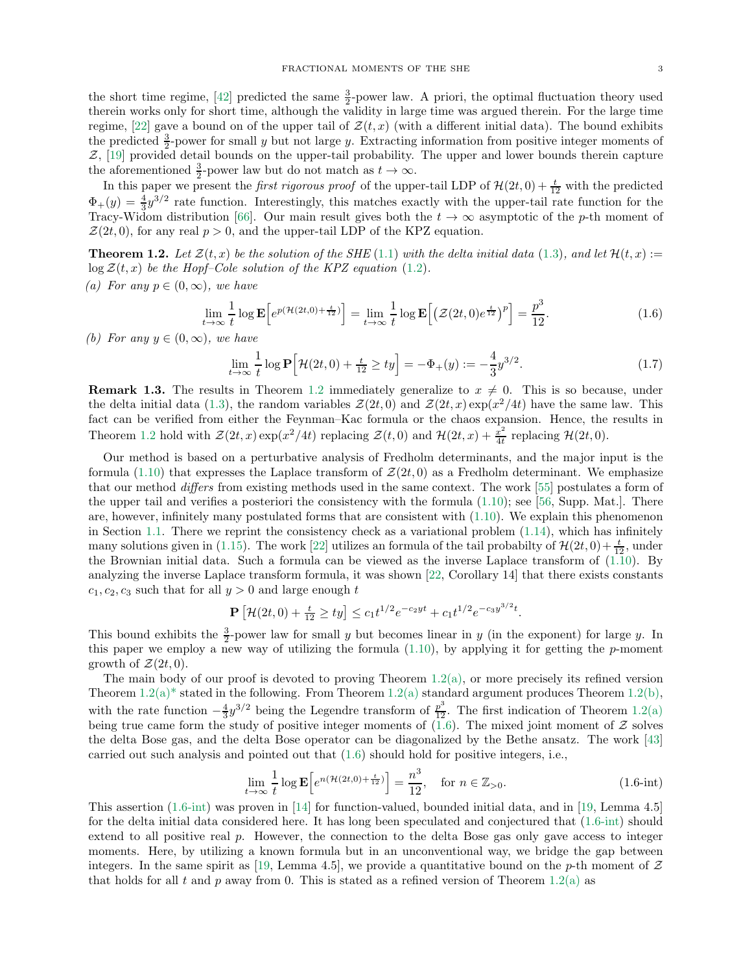the short time regime, [\[42\]](#page-18-0) predicted the same  $\frac{3}{2}$ -power law. A priori, the optimal fluctuation theory used therein works only for short time, although the validity in large time was argued therein. For the large time regime, [\[22\]](#page-18-30) gave a bound on of the upper tail of  $\mathcal{Z}(t,x)$  (with a different initial data). The bound exhibits the predicted  $\frac{3}{2}$ -power for small y but not large y. Extracting information from positive integer moments of Z, [\[19\]](#page-18-31) provided detail bounds on the upper-tail probability. The upper and lower bounds therein capture the aforementioned  $\frac{3}{2}$ -power law but do not match as  $t \to \infty$ .

In this paper we present the *first rigorous proof* of the upper-tail LDP of  $\mathcal{H}(2t, 0) + \frac{t}{12}$  with the predicted  $\Phi_{+}(y) = \frac{4}{3}y^{3/2}$  rate function. Interestingly, this matches exactly with the upper-tail rate function for the Tracy-Widom distribution [\[66\]](#page-19-6). Our main result gives both the  $t \to \infty$  asymptotic of the p-th moment of  $\mathcal{Z}(2t, 0)$ , for any real  $p > 0$ , and the upper-tail LDP of the KPZ equation.

<span id="page-2-1"></span><span id="page-2-0"></span>**Theorem 1.2.** Let  $\mathcal{Z}(t,x)$  be the solution of the SHE [\(1.1\)](#page-0-0) with the delta initial data [\(1.3\)](#page-0-1), and let  $\mathcal{H}(t,x) :=$  $\log \mathcal{Z}(t, x)$  be the Hopf–Cole solution of the KPZ equation [\(1.2\)](#page-0-2). (a) For any  $p \in (0, \infty)$ , we have

$$
\lim_{t \to \infty} \frac{1}{t} \log \mathbf{E} \Big[ e^{p(\mathcal{H}(2t,0) + \frac{t}{12})} \Big] = \lim_{t \to \infty} \frac{1}{t} \log \mathbf{E} \Big[ \big( \mathcal{Z}(2t,0) e^{\frac{t}{12}} \big)^p \Big] = \frac{p^3}{12}.
$$
\n(1.6)

<span id="page-2-2"></span>(b) For any  $y \in (0, \infty)$ , we have

<span id="page-2-3"></span>
$$
\lim_{t \to \infty} \frac{1}{t} \log \mathbf{P} \Big[ \mathcal{H}(2t, 0) + \frac{t}{12} \ge ty \Big] = -\Phi_+(y) := -\frac{4}{3} y^{3/2}.
$$
 (1.7)

**Remark 1.3.** The results in Theorem [1.2](#page-2-0) immediately generalize to  $x \neq 0$ . This is so because, under the delta initial data [\(1.3\)](#page-0-1), the random variables  $\mathcal{Z}(2t,0)$  and  $\mathcal{Z}(2t,x) \exp(x^2/4t)$  have the same law. This fact can be verified from either the Feynman–Kac formula or the chaos expansion. Hence, the results in Theorem [1.2](#page-2-0) hold with  $\mathcal{Z}(2t,x) \exp(x^2/4t)$  replacing  $\mathcal{Z}(t,0)$  and  $\mathcal{H}(2t,x) + \frac{x^2}{4t}$  $rac{x^2}{4t}$  replacing  $\mathcal{H}(2t,0)$ .

Our method is based on a perturbative analysis of Fredholm determinants, and the major input is the formula [\(1.10\)](#page-3-0) that expresses the Laplace transform of  $\mathcal{Z}(2t, 0)$  as a Fredholm determinant. We emphasize that our method differs from existing methods used in the same context. The work [\[55\]](#page-19-0) postulates a form of the upper tail and verifies a posteriori the consistency with the formula  $(1.10)$ ; see [\[56,](#page-19-14) Supp. Mat.]. There are, however, infinitely many postulated forms that are consistent with  $(1.10)$ . We explain this phenomenon in Section [1.1.](#page-4-0) There we reprint the consistency check as a variational problem [\(1.14\)](#page-4-1), which has infinitely many solutions given in [\(1.15\)](#page-4-2). The work [\[22\]](#page-18-30) utilizes an formula of the tail probabilty of  $\mathcal{H}(2t, 0) + \frac{t}{12}$ , under the Brownian initial data. Such a formula can be viewed as the inverse Laplace transform of [\(1.10\)](#page-3-0). By analyzing the inverse Laplace transform formula, it was shown [\[22,](#page-18-30) Corollary 14] that there exists constants  $c_1, c_2, c_3$  such that for all  $y > 0$  and large enough t

$$
\mathbf{P}\left[\mathcal{H}(2t,0) + \frac{t}{12} \ge ty\right] \le c_1 t^{1/2} e^{-c_2 y t} + c_1 t^{1/2} e^{-c_3 y^{3/2} t}.
$$

This bound exhibits the  $\frac{3}{2}$ -power law for small y but becomes linear in y (in the exponent) for large y. In this paper we employ a new way of utilizing the formula  $(1.10)$ , by applying it for getting the p-moment growth of  $\mathcal{Z}(2t,0)$ .

The main body of our proof is devoted to proving Theorem  $1.2(a)$  $1.2(a)$ , or more precisely its refined version Theorem  $1.2(a)$  $1.2(a)$ <sup>\*</sup> stated in the following. From Theorem 1.2(a) standard argument produces Theorem 1.2[\(b\),](#page-2-2) with the rate function  $-\frac{4}{3}y^{3/2}$  being the Legendre transform of  $\frac{p^3}{12}$ . The first indication of Theorem [1.2](#page-2-0)[\(a\)](#page-2-1) being true came form the study of positive integer moments of  $(1.6)$ . The mixed joint moment of Z solves the delta Bose gas, and the delta Bose operator can be diagonalized by the Bethe ansatz. The work [\[43\]](#page-18-32) carried out such analysis and pointed out that [\(1.6\)](#page-2-3) should hold for positive integers, i.e.,

<span id="page-2-4"></span>
$$
\lim_{t \to \infty} \frac{1}{t} \log \mathbf{E} \left[ e^{n(\mathcal{H}(2t,0) + \frac{t}{12})} \right] = \frac{n^3}{12}, \quad \text{for } n \in \mathbb{Z}_{>0}.
$$
\n(1.6-int)

This assertion [\(1.6-int\)](#page-2-4) was proven in [\[14\]](#page-18-27) for function-valued, bounded initial data, and in [\[19,](#page-18-31) Lemma 4.5] for the delta initial data considered here. It has long been speculated and conjectured that [\(1.6-int\)](#page-2-4) should extend to all positive real p. However, the connection to the delta Bose gas only gave access to integer moments. Here, by utilizing a known formula but in an unconventional way, we bridge the gap between integers. In the same spirit as [\[19,](#page-18-31) Lemma 4.5], we provide a quantitative bound on the p-th moment of  $Z$ that holds for all t and p away from 0. This is stated as a refined version of Theorem [1.2](#page-2-0)[\(a\)](#page-2-1) as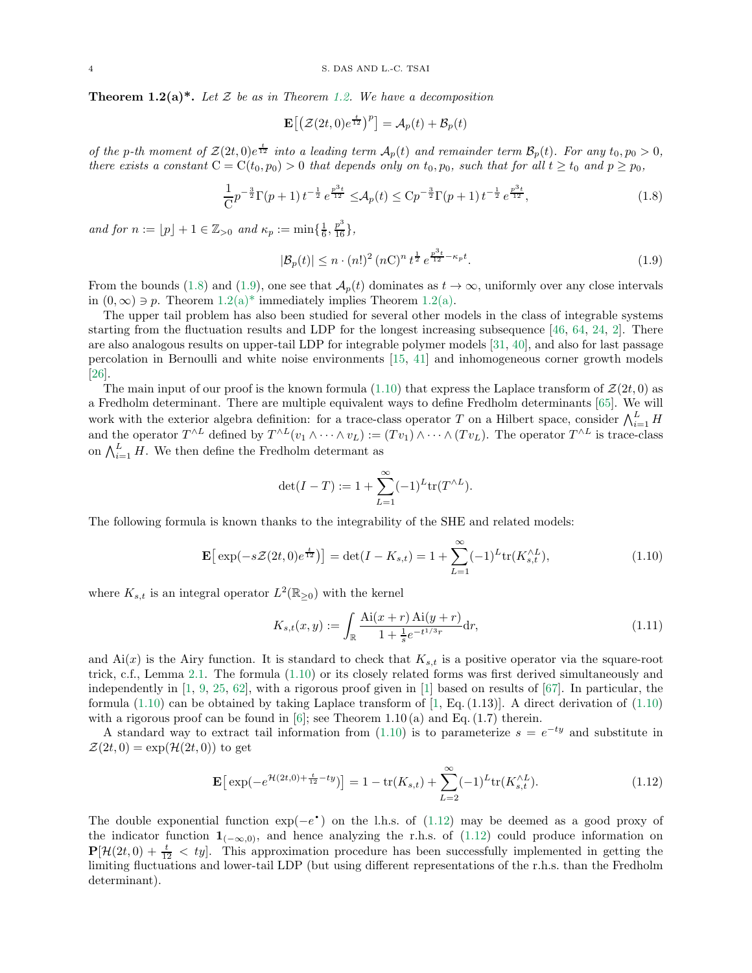<span id="page-3-1"></span>**Theorem 1.2(a)\*.** Let Z be as in Theorem [1.2.](#page-2-0) We have a decomposition

<span id="page-3-2"></span>
$$
\mathbf{E}\!\left[\left(\mathcal{Z}(2t,0)e^{\frac{t}{12}}\right)^p\right]=\mathcal{A}_p(t)+\mathcal{B}_p(t)
$$

of the p-th moment of  $\mathcal{Z}(2t,0)e^{\frac{t}{12}}$  into a leading term  $\mathcal{A}_p(t)$  and remainder term  $\mathcal{B}_p(t)$ . For any  $t_0, p_0 > 0$ , there exists a constant  $C = C(t_0, p_0) > 0$  that depends only on  $t_0, p_0$ , such that for all  $t \geq t_0$  and  $p \geq p_0$ ,

$$
\frac{1}{C}p^{-\frac{3}{2}}\Gamma(p+1)t^{-\frac{1}{2}}e^{\frac{p^3t}{12}} \leq \mathcal{A}_p(t) \leq Cp^{-\frac{3}{2}}\Gamma(p+1)t^{-\frac{1}{2}}e^{\frac{p^3t}{12}},\tag{1.8}
$$

and for  $n := \lfloor p \rfloor + 1 \in \mathbb{Z}_{>0}$  and  $\kappa_p := \min\{\frac{1}{6}, \frac{p^3}{16}\},\$ 

<span id="page-3-3"></span>
$$
|\mathcal{B}_p(t)| \le n \cdot (n!)^2 (n!)^n t^{\frac{1}{2}} e^{\frac{p^3 t}{12} - \kappa_p t}.
$$
\n(1.9)

From the bounds [\(1.8\)](#page-3-2) and [\(1.9\)](#page-3-3), one see that  $\mathcal{A}_p(t)$  dominates as  $t \to \infty$ , uniformly over any close intervals in  $(0, \infty) \ni p$ . Theorem [1.2\(a\)\\*](#page-3-1) immediately implies Theorem [1.2](#page-2-0)[\(a\).](#page-2-1)

The upper tail problem has also been studied for several other models in the class of integrable systems starting from the fluctuation results and LDP for the longest increasing subsequence [\[46,](#page-18-33) [64,](#page-19-15) [24,](#page-18-34) [2\]](#page-17-7). There are also analogous results on upper-tail LDP for integrable polymer models [\[31,](#page-18-35) [40\]](#page-18-36), and also for last passage percolation in Bernoulli and white noise environments [\[15,](#page-18-37) [41\]](#page-18-38) and inhomogeneous corner growth models [\[26\]](#page-18-39).

The main input of our proof is the known formula [\(1.10\)](#page-3-0) that express the Laplace transform of  $\mathcal{Z}(2t, 0)$  as a Fredholm determinant. There are multiple equivalent ways to define Fredholm determinants [\[65\]](#page-19-16). We will work with the exterior algebra definition: for a trace-class operator T on a Hilbert space, consider  $\bigwedge_{i=1}^{L} H$ and the operator  $T^{\wedge L}$  defined by  $T^{\wedge L}(v_1 \wedge \cdots \wedge v_L) := (Tv_1) \wedge \cdots \wedge (Tv_L)$ . The operator  $T^{\wedge L}$  is trace-class on  $\bigwedge_{i=1}^{L} H$ . We then define the Fredholm determant as

<span id="page-3-0"></span>
$$
\det(I - T) := 1 + \sum_{L=1}^{\infty} (-1)^L tr(T^{\wedge L}).
$$

The following formula is known thanks to the integrability of the SHE and related models:

$$
\mathbf{E}\left[\exp(-s\mathcal{Z}(2t,0)e^{\frac{t}{12}})\right] = \det(I - K_{s,t}) = 1 + \sum_{L=1}^{\infty} (-1)^{L} \text{tr}(K_{s,t}^{\wedge L}),\tag{1.10}
$$

where  $K_{s,t}$  is an integral operator  $L^2(\mathbb{R}_{\geq 0})$  with the kernel

<span id="page-3-5"></span><span id="page-3-4"></span>
$$
K_{s,t}(x,y) := \int_{\mathbb{R}} \frac{\text{Ai}(x+r) \text{Ai}(y+r)}{1 + \frac{1}{s}e^{-t^{1/3}r}} \, \mathrm{d}r,\tag{1.11}
$$

and  $Ai(x)$  is the Airy function. It is standard to check that  $K_{s,t}$  is a positive operator via the square-root trick, c.f., Lemma [2.1.](#page-6-0) The formula [\(1.10\)](#page-3-0) or its closely related forms was first derived simultaneously and independently in [\[1,](#page-17-3) [9,](#page-17-2) [25,](#page-18-15) [62\]](#page-19-5), with a rigorous proof given in [\[1\]](#page-17-3) based on results of [\[67\]](#page-19-17). In particular, the formula  $(1.10)$  can be obtained by taking Laplace transform of  $[1, Eq. (1.13)]$ . A direct derivation of  $(1.10)$ with a rigorous proof can be found in  $[6]$ ; see Theorem 1.10 (a) and Eq. (1.7) therein.

A standard way to extract tail information from  $(1.10)$  is to parameterize  $s = e^{-ty}$  and substitute in  $\mathcal{Z}(2t,0) = \exp(\mathcal{H}(2t,0))$  to get

$$
\mathbf{E}\left[\exp(-e^{\mathcal{H}(2t,0)+\frac{t}{12}-ty})\right] = 1 - \text{tr}(K_{s,t}) + \sum_{L=2}^{\infty} (-1)^L \text{tr}(K_{s,t}^{\wedge L}).\tag{1.12}
$$

The double exponential function  $\exp(-e^{\bullet})$  on the l.h.s. of [\(1.12\)](#page-3-4) may be deemed as a good proxy of the indicator function  $\mathbf{1}_{(-\infty,0)}$ , and hence analyzing the r.h.s. of [\(1.12\)](#page-3-4) could produce information on  $P[\mathcal{H}(2t, 0) + \frac{t}{12}] < ty$ . This approximation procedure has been successfully implemented in getting the limiting fluctuations and lower-tail LDP (but using different representations of the r.h.s. than the Fredholm determinant).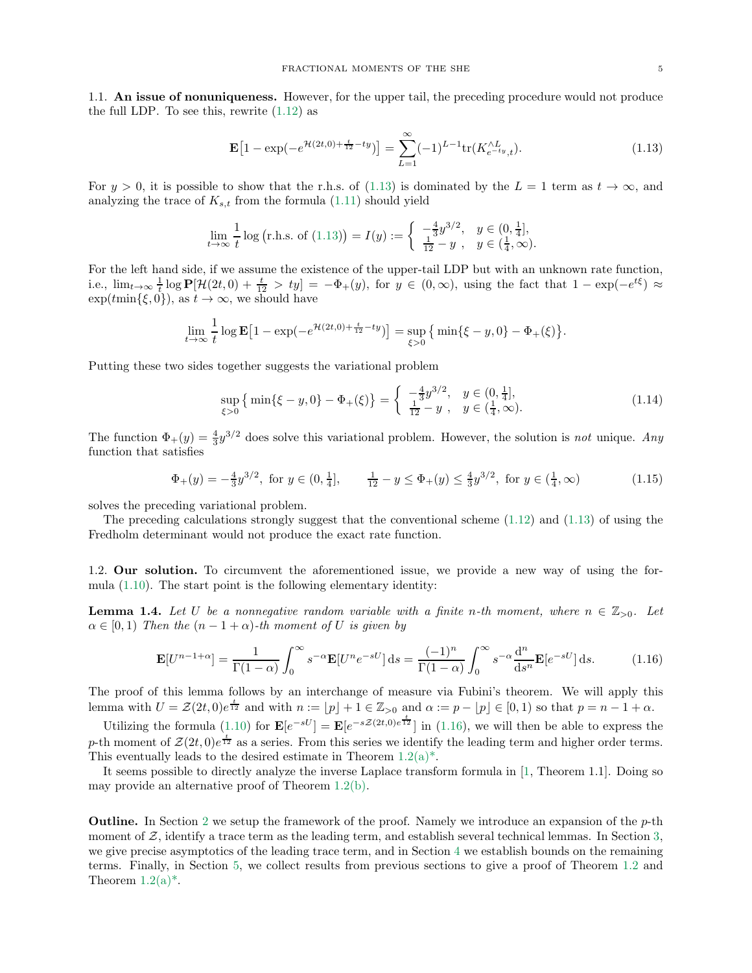<span id="page-4-0"></span>1.1. An issue of nonuniqueness. However, for the upper tail, the preceding procedure would not produce the full LDP. To see this, rewrite  $(1.12)$  as

<span id="page-4-3"></span>
$$
\mathbf{E}\left[1 - \exp(-e^{\mathcal{H}(2t,0) + \frac{t}{12} - ty})\right] = \sum_{L=1}^{\infty} (-1)^{L-1} \text{tr}(K_{e^{-t}y,t}^{\wedge L}).\tag{1.13}
$$

For  $y > 0$ , it is possible to show that the r.h.s. of [\(1.13\)](#page-4-3) is dominated by the  $L = 1$  term as  $t \to \infty$ , and analyzing the trace of  $K_{s,t}$  from the formula [\(1.11\)](#page-3-5) should yield

$$
\lim_{t \to \infty} \frac{1}{t} \log \left( \text{r.h.s. of (1.13)} \right) = I(y) := \begin{cases} -\frac{4}{3} y^{3/2}, & y \in (0, \frac{1}{4}], \\ \frac{1}{12} - y, & y \in (\frac{1}{4}, \infty). \end{cases}
$$

For the left hand side, if we assume the existence of the upper-tail LDP but with an unknown rate function, i.e.,  $\lim_{t\to\infty}\frac{1}{t}\log\mathbf{P}[\mathcal{H}(2t,0)+\frac{t}{12}>ty] = -\Phi_+(y)$ , for  $y\in(0,\infty)$ , using the fact that  $1-\exp(-e^{t\xi})\approx$  $\exp(t \min{\{\xi, 0\}}),$  as  $t \to \infty$ , we should have

$$
\lim_{t \to \infty} \frac{1}{t} \log \mathbf{E} \left[ 1 - \exp(-e^{\mathcal{H}(2t,0) + \frac{t}{12} - ty}) \right] = \sup_{\xi > 0} \left\{ \min \{ \xi - y, 0 \} - \Phi_+(\xi) \right\}.
$$

Putting these two sides together suggests the variational problem

<span id="page-4-2"></span><span id="page-4-1"></span>
$$
\sup_{\xi>0} \left\{ \min \{ \xi - y, 0 \} - \Phi_+(\xi) \right\} = \begin{cases} -\frac{4}{3} y^{3/2}, & y \in (0, \frac{1}{4}], \\ \frac{1}{12} - y, & y \in (\frac{1}{4}, \infty). \end{cases}
$$
\n(1.14)

The function  $\Phi_+(y) = \frac{4}{3}y^{3/2}$  does solve this variational problem. However, the solution is not unique. Any function that satisfies

$$
\Phi_{+}(y) = -\frac{4}{3}y^{3/2}, \text{ for } y \in (0, \frac{1}{4}], \qquad \frac{1}{12} - y \le \Phi_{+}(y) \le \frac{4}{3}y^{3/2}, \text{ for } y \in (\frac{1}{4}, \infty)
$$
 (1.15)

solves the preceding variational problem.

The preceding calculations strongly suggest that the conventional scheme  $(1.12)$  and  $(1.13)$  of using the Fredholm determinant would not produce the exact rate function.

1.2. Our solution. To circumvent the aforementioned issue, we provide a new way of using the formula [\(1.10\)](#page-3-0). The start point is the following elementary identity:

<span id="page-4-5"></span>**Lemma 1.4.** Let U be a nonnegative random variable with a finite n-th moment, where  $n \in \mathbb{Z}_{>0}$ . Let  $\alpha \in [0,1)$  Then the  $(n-1+\alpha)$ -th moment of U is given by

<span id="page-4-4"></span>
$$
\mathbf{E}[U^{n-1+\alpha}] = \frac{1}{\Gamma(1-\alpha)} \int_0^\infty s^{-\alpha} \mathbf{E}[U^n e^{-sU}] ds = \frac{(-1)^n}{\Gamma(1-\alpha)} \int_0^\infty s^{-\alpha} \frac{d^n}{ds^n} \mathbf{E}[e^{-sU}] ds.
$$
 (1.16)

The proof of this lemma follows by an interchange of measure via Fubini's theorem. We will apply this lemma with  $U = \mathcal{Z}(2t, 0)e^{\frac{t}{12}}$  and with  $n := \lfloor p \rfloor + 1 \in \mathbb{Z}_{>0}$  and  $\alpha := p - \lfloor p \rfloor \in [0, 1)$  so that  $p = n - 1 + \alpha$ .

Utilizing the formula [\(1.10\)](#page-3-0) for  $\mathbf{E}[e^{-sU}] = \mathbf{E}[e^{-s\mathcal{Z}(2t,0)e^{\frac{t}{12}}}]$  in [\(1.16\)](#page-4-4), we will then be able to express the p-th moment of  $\mathcal{Z}(2t,0)e^{\frac{t}{12}}$  as a series. From this series we identify the leading term and higher order terms. This eventually leads to the desired estimate in Theorem  $1.2(a)^*$ .

It seems possible to directly analyze the inverse Laplace transform formula in [\[1,](#page-17-3) Theorem 1.1]. Doing so may provide an alternative proof of Theorem [1.2](#page-2-0)[\(b\).](#page-2-2)

**Outline.** In Section [2](#page-5-0) we setup the framework of the proof. Namely we introduce an expansion of the  $p$ -th moment of  $\mathcal Z$ , identify a trace term as the leading term, and establish several technical lemmas. In Section [3,](#page-8-0) we give precise asymptotics of the leading trace term, and in Section [4](#page-10-0) we establish bounds on the remaining terms. Finally, in Section [5,](#page-16-0) we collect results from previous sections to give a proof of Theorem [1.2](#page-2-0) and Theorem  $1.2(a)^*$ .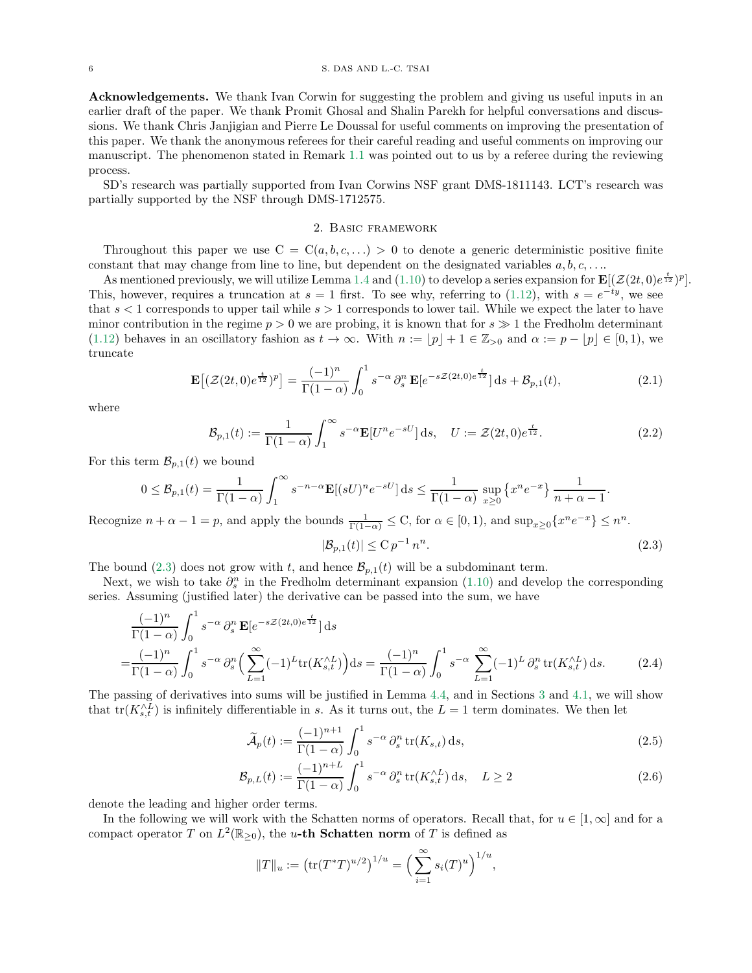Acknowledgements. We thank Ivan Corwin for suggesting the problem and giving us useful inputs in an earlier draft of the paper. We thank Promit Ghosal and Shalin Parekh for helpful conversations and discussions. We thank Chris Janjigian and Pierre Le Doussal for useful comments on improving the presentation of this paper. We thank the anonymous referees for their careful reading and useful comments on improving our manuscript. The phenomenon stated in Remark [1.1](#page-1-0) was pointed out to us by a referee during the reviewing process.

<span id="page-5-0"></span>SD's research was partially supported from Ivan Corwins NSF grant DMS-1811143. LCT's research was partially supported by the NSF through DMS-1712575.

## 2. Basic framework

Throughout this paper we use  $C = C(a, b, c, \ldots) > 0$  to denote a generic deterministic positive finite constant that may change from line to line, but dependent on the designated variables  $a, b, c, \ldots$ 

As mentioned previously, we will utilize Lemma [1.4](#page-4-5) and [\(1.10\)](#page-3-0) to develop a series expansion for  $\mathbf{E}[(\mathcal{Z}(2t,0)e^{\frac{t}{12}})^p]$ . This, however, requires a truncation at  $s = 1$  first. To see why, referring to [\(1.12\)](#page-3-4), with  $s = e^{-ty}$ , we see that  $s < 1$  corresponds to upper tail while  $s > 1$  corresponds to lower tail. While we expect the later to have minor contribution in the regime  $p > 0$  we are probing, it is known that for  $s \gg 1$  the Fredholm determinant [\(1.12\)](#page-3-4) behaves in an oscillatory fashion as  $t \to \infty$ . With  $n := |p| + 1 \in \mathbb{Z}_{>0}$  and  $\alpha := p - |p| \in [0,1)$ , we truncate

$$
\mathbf{E}\left[ (\mathcal{Z}(2t,0)e^{\frac{t}{12}})^p \right] = \frac{(-1)^n}{\Gamma(1-\alpha)} \int_0^1 s^{-\alpha} \, \partial_s^n \, \mathbf{E}[e^{-s\mathcal{Z}(2t,0)e^{\frac{t}{12}}}] \, \mathrm{d}s + \mathcal{B}_{p,1}(t),\tag{2.1}
$$

where

$$
\mathcal{B}_{p,1}(t) := \frac{1}{\Gamma(1-\alpha)} \int_1^{\infty} s^{-\alpha} \mathbf{E}[U^n e^{-sU}] ds, \quad U := \mathcal{Z}(2t,0) e^{\frac{t}{12}}.
$$
 (2.2)

For this term  $\mathcal{B}_{p,1}(t)$  we bound

$$
0 \leq \mathcal{B}_{p,1}(t) = \frac{1}{\Gamma(1-\alpha)} \int_1^{\infty} s^{-n-\alpha} \mathbf{E}[(sU)^n e^{-sU}] ds \leq \frac{1}{\Gamma(1-\alpha)} \sup_{x \geq 0} \left\{ x^n e^{-x} \right\} \frac{1}{n+\alpha-1}.
$$

Recognize  $n + \alpha - 1 = p$ , and apply the bounds  $\frac{1}{\Gamma(1-\alpha)} \leq C$ , for  $\alpha \in [0,1)$ , and  $\sup_{x \geq 0} \{x^n e^{-x}\} \leq n^n$ .

<span id="page-5-5"></span><span id="page-5-4"></span><span id="page-5-2"></span><span id="page-5-1"></span>
$$
|\mathcal{B}_{p,1}(t)| \leq C p^{-1} n^n. \tag{2.3}
$$

The bound [\(2.3\)](#page-5-1) does not grow with t, and hence  $\mathcal{B}_{p,1}(t)$  will be a subdominant term.

Next, we wish to take  $\partial_s^n$  in the Fredholm determinant expansion [\(1.10\)](#page-3-0) and develop the corresponding series. Assuming (justified later) the derivative can be passed into the sum, we have

$$
\frac{(-1)^n}{\Gamma(1-\alpha)} \int_0^1 s^{-\alpha} \partial_s^n \mathbf{E} \left[e^{-s\mathcal{Z}(2t,0)e^{\frac{t}{12}}}\right] ds
$$
\n
$$
= \frac{(-1)^n}{\Gamma(1-\alpha)} \int_0^1 s^{-\alpha} \partial_s^n \left(\sum_{L=1}^\infty (-1)^L \text{tr}(K_{s,t}^{\wedge L})\right) ds = \frac{(-1)^n}{\Gamma(1-\alpha)} \int_0^1 s^{-\alpha} \sum_{L=1}^\infty (-1)^L \partial_s^n \text{tr}(K_{s,t}^{\wedge L}) ds. \tag{2.4}
$$

The passing of derivatives into sums will be justified in Lemma [4.4,](#page-12-0) and in Sections [3](#page-8-0) and [4.1,](#page-11-0) we will show that  $\text{tr}(K_{s,t}^{\wedge L})$  is infinitely differentiable in s. As it turns out, the  $L=1$  term dominates. We then let

$$
\widetilde{\mathcal{A}}_p(t) := \frac{(-1)^{n+1}}{\Gamma(1-\alpha)} \int_0^1 s^{-\alpha} \partial_s^n \operatorname{tr}(K_{s,t}) \, \mathrm{d}s,\tag{2.5}
$$

$$
\mathcal{B}_{p,L}(t) := \frac{(-1)^{n+L}}{\Gamma(1-\alpha)} \int_0^1 s^{-\alpha} \partial_s^n \operatorname{tr}(K_{s,t}^{\wedge L}) \, \mathrm{d}s, \quad L \ge 2 \tag{2.6}
$$

denote the leading and higher order terms.

In the following we will work with the Schatten norms of operators. Recall that, for  $u \in [1,\infty]$  and for a compact operator T on  $L^2(\mathbb{R}_{\geq 0})$ , the u-th Schatten norm of T is defined as

<span id="page-5-3"></span>
$$
||T||_u := (tr(T^*T)^{u/2})^{1/u} = \left(\sum_{i=1}^{\infty} s_i(T)^u\right)^{1/u},
$$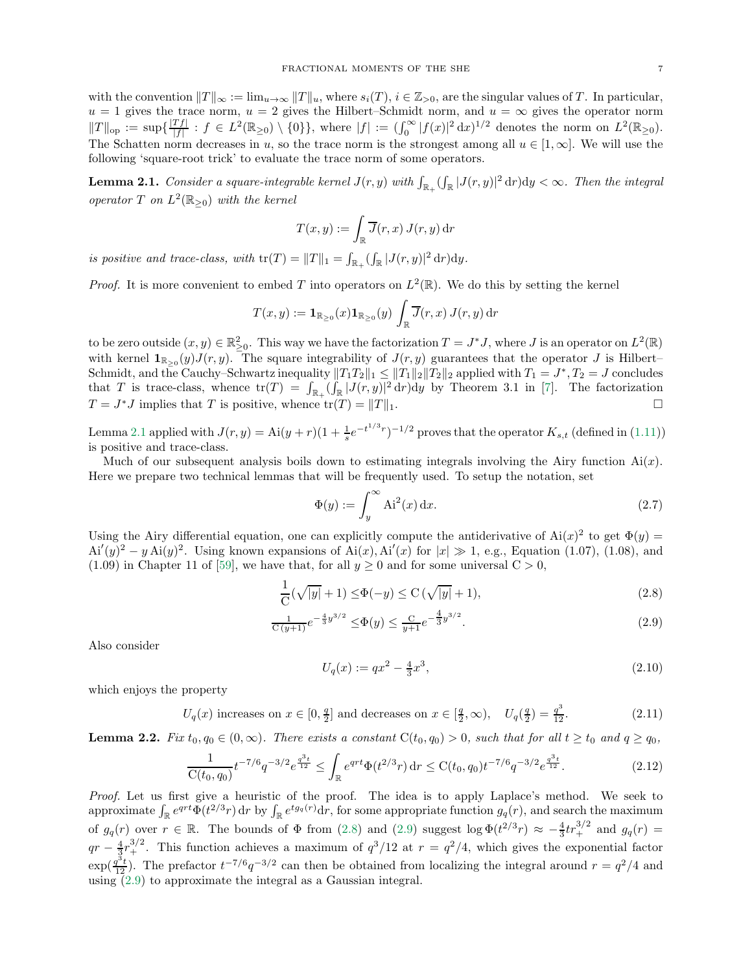with the convention  $||T||_{\infty} := \lim_{u\to\infty} ||T||_u$ , where  $s_i(T)$ ,  $i \in \mathbb{Z}_{>0}$ , are the singular values of T. In particular,  $u = 1$  gives the trace norm,  $u = 2$  gives the Hilbert–Schmidt norm, and  $u = \infty$  gives the operator norm  $||T||_{\text{op}} := \sup \{ \frac{|Tf|}{|f|}$  $\frac{df|}{|f|}: f \in L^2(\mathbb{R}_{\geq 0}) \setminus \{0\}\},\$  where  $|f| := (\int_0^\infty |f(x)|^2 dx)^{1/2}$  denotes the norm on  $L^2(\mathbb{R}_{\geq 0})$ . The Schatten norm decreases in u, so the trace norm is the strongest among all  $u \in [1, \infty]$ . We will use the following 'square-root trick' to evaluate the trace norm of some operators.

<span id="page-6-0"></span>**Lemma 2.1.** Consider a square-integrable kernel  $J(r, y)$  with  $\int_{\mathbb{R}_+} (\int_{\mathbb{R}} |J(r, y)|^2 dr) dy < \infty$ . Then the integral operator  $T$  on  $L^2(\mathbb{R}_{\geq 0})$  with the kernel

$$
T(x,y) := \int_{\mathbb{R}} \overline{J}(r,x) J(r,y) dr
$$

is positive and trace-class, with  $\text{tr}(T) = ||T||_1 = \int_{\mathbb{R}_+} (\int_{\mathbb{R}} |J(r, y)|^2 \, \text{d}r) \text{d}y$ .

*Proof.* It is more convenient to embed T into operators on  $L^2(\mathbb{R})$ . We do this by setting the kernel

$$
T(x,y) := \mathbf{1}_{\mathbb{R}_{\geq 0}}(x)\mathbf{1}_{\mathbb{R}_{\geq 0}}(y) \int_{\mathbb{R}} \overline{J}(r,x) J(r,y) dr
$$

to be zero outside  $(x, y) \in \mathbb{R}^2_{\geq 0}$ . This way we have the factorization  $T = J^*J$ , where J is an operator on  $L^2(\mathbb{R})$ with kernel  $\mathbf{1}_{\mathbb{R}_{\geq 0}}(y)J(r, y)$ . The square integrability of  $J(r, y)$  guarantees that the operator J is Hilbert– Schmidt, and the Cauchy–Schwartz inequality  $||T_1T_2||_1 \le ||T_1||_2 ||T_2||_2$  applied with  $T_1 = J^*, T_2 = J$  concludes that T is trace-class, whence  $tr(T) = \int_{\mathbb{R}_+} (\int_{\mathbb{R}} |J(r, y)|^2 dr) dy$  by Theorem 3.1 in [\[7\]](#page-17-9). The factorization  $T = J^*J$  implies that T is positive, whence  $tr(T) = ||T||_1$ .

Lemma [2.1](#page-6-0) applied with  $J(r, y) = Ai(y + r)(1 + \frac{1}{s}e^{-t^{1/3}r})^{-1/2}$  proves that the operator  $K_{s,t}$  (defined in [\(1.11\)](#page-3-5)) is positive and trace-class.

Much of our subsequent analysis boils down to estimating integrals involving the Airy function  $Ai(x)$ . Here we prepare two technical lemmas that will be frequently used. To setup the notation, set

<span id="page-6-6"></span>
$$
\Phi(y) := \int_{y}^{\infty} \mathbf{A} \mathbf{i}^{2}(x) \, \mathrm{d}x. \tag{2.7}
$$

Using the Airy differential equation, one can explicitly compute the antiderivative of  $Ai(x)^2$  to get  $\Phi(y)$  =  $Ai'(y)^2 - y Ai(y)^2$ . Using known expansions of  $Ai(x)$ ,  $Ai'(x)$  for  $|x| \gg 1$ , e.g., Equation (1.07), (1.08), and (1.09) in Chapter 11 of [\[59\]](#page-19-18), we have that, for all  $y \ge 0$  and for some universal  $C > 0$ ,

$$
\frac{1}{C}(\sqrt{|y|} + 1) \le \Phi(-y) \le C(\sqrt{|y|} + 1),\tag{2.8}
$$

$$
\frac{1}{C(y+1)}e^{-\frac{4}{3}y^{3/2}} \leq \Phi(y) \leq \frac{C}{y+1}e^{-\frac{4}{3}y^{3/2}}.
$$
\n(2.9)

Also consider

<span id="page-6-7"></span><span id="page-6-4"></span><span id="page-6-3"></span><span id="page-6-2"></span><span id="page-6-1"></span>
$$
U_q(x) := qx^2 - \frac{4}{3}x^3,
$$
\n(2.10)

which enjoys the property

$$
U_q(x) \text{ increases on } x \in [0, \frac{q}{2}] \text{ and decreases on } x \in [\frac{q}{2}, \infty), \quad U_q(\frac{q}{2}) = \frac{q^3}{12}.
$$
 (2.11)

<span id="page-6-5"></span>**Lemma 2.2.** Fix  $t_0, q_0 \in (0, \infty)$ . There exists a constant  $C(t_0, q_0) > 0$ , such that for all  $t \ge t_0$  and  $q \ge q_0$ ,

$$
\frac{1}{C(t_0, q_0)} t^{-7/6} q^{-3/2} e^{\frac{q^3 t}{12}} \le \int_{\mathbb{R}} e^{qrt} \Phi(t^{2/3} r) dr \le C(t_0, q_0) t^{-7/6} q^{-3/2} e^{\frac{q^3 t}{12}}.
$$
\n(2.12)

Proof. Let us first give a heuristic of the proof. The idea is to apply Laplace's method. We seek to approximate  $\int_{\mathbb{R}} e^{qrt} \Phi(t^{2/3}r) dr$  by  $\int_{\mathbb{R}} e^{t g_q(r)} dr$ , for some appropriate function  $g_q(r)$ , and search the maximum of  $g_q(r)$  over  $r \in \mathbb{R}$ . The bounds of  $\Phi$  from [\(2.8\)](#page-6-1) and [\(2.9\)](#page-6-2) suggest log  $\Phi(t^{2/3}r) \approx -\frac{4}{3}tr_+^{3/2}$  and  $g_q(r)$  =  $qr - \frac{4}{3}r_+^{3/2}$ . This function achieves a maximum of  $q^3/12$  at  $r = q^2/4$ , which gives the exponential factor  $\exp(\frac{q^3t}{12})$ . The prefactor  $t^{-7/6}q^{-3/2}$  can then be obtained from localizing the integral around  $r = q^2/4$  and using [\(2.9\)](#page-6-2) to approximate the integral as a Gaussian integral.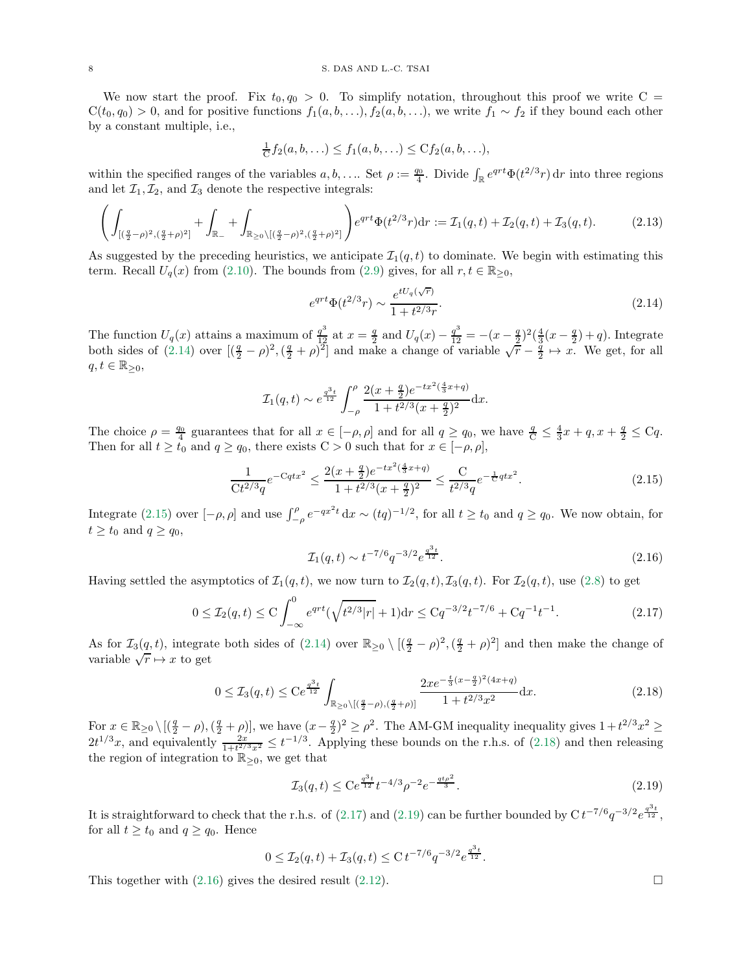We now start the proof. Fix  $t_0, q_0 > 0$ . To simplify notation, throughout this proof we write C =  $C(t_0, q_0) > 0$ , and for positive functions  $f_1(a, b, \ldots)$ ,  $f_2(a, b, \ldots)$ , we write  $f_1 \sim f_2$  if they bound each other by a constant multiple, i.e.,

$$
\frac{1}{C}f_2(a,b,\ldots) \le f_1(a,b,\ldots) \le Cf_2(a,b,\ldots),
$$

within the specified ranges of the variables  $a, b, \ldots$ . Set  $\rho := \frac{q_0}{4}$ . Divide  $\int_{\mathbb{R}} e^{qrt} \Phi(t^{2/3}r) dr$  into three regions and let  $\mathcal{I}_1, \mathcal{I}_2$ , and  $\mathcal{I}_3$  denote the respective integrals:

$$
\left(\int_{\left[\left(\frac{q}{2}-\rho\right)^2,\left(\frac{q}{2}+\rho\right)^2\right]} + \int_{\mathbb{R}_-} + \int_{\mathbb{R}_{\geq 0}\setminus\left[\left(\frac{q}{2}-\rho\right)^2,\left(\frac{q}{2}+\rho\right)^2\right]} e^{qrt} \Phi(t^{2/3}r) dr := \mathcal{I}_1(q,t) + \mathcal{I}_2(q,t) + \mathcal{I}_3(q,t). \tag{2.13}
$$

As suggested by the preceding heuristics, we anticipate  $\mathcal{I}_1(q,t)$  to dominate. We begin with estimating this term. Recall  $U_q(x)$  from [\(2.10\)](#page-6-3). The bounds from [\(2.9\)](#page-6-2) gives, for all  $r, t \in \mathbb{R}_{\geq 0}$ ,

<span id="page-7-0"></span>
$$
e^{qrt}\Phi(t^{2/3}r) \sim \frac{e^{tU_q(\sqrt{r})}}{1+t^{2/3}r}.\tag{2.14}
$$

The function  $U_q(x)$  attains a maximum of  $\frac{q^3}{12}$  at  $x = \frac{q}{2}$  and  $U_q(x) - \frac{q^3}{12} = -(x - \frac{q}{2})^2(\frac{4}{3}(x - \frac{q}{2}) + q)$ . Integrate both sides of  $(2.14)$  over  $[(\frac{q}{2}-\rho)^2, (\frac{q}{2}+\rho)^2]$  and make a change of variable  $\sqrt{r} - \frac{q}{2} \mapsto x$ . We get, for all  $q, t \in \mathbb{R}_{\geq 0},$ 

$$
\mathcal{I}_1(q,t) \sim e^{\frac{q^3t}{12}} \int_{-\rho}^{\rho} \frac{2(x+\frac{q}{2})e^{-tx^2(\frac{4}{3}x+q)}}{1+t^{2/3}(x+\frac{q}{2})^2} \mathrm{d}x.
$$

The choice  $\rho = \frac{q_0}{4}$  guarantees that for all  $x \in [-\rho, \rho]$  and for all  $q \ge q_0$ , we have  $\frac{q}{C} \le \frac{4}{3}x + q$ ,  $x + \frac{q}{2} \le Cq$ . Then for all  $t \geq t_0$  and  $q \geq q_0$ , there exists  $C > 0$  such that for  $x \in [-\rho, \rho],$ 

$$
\frac{1}{Ct^{2/3}q}e^{-Cqtx^2} \le \frac{2(x+\frac{q}{2})e^{-tx^2(\frac{4}{3}x+q)}}{1+t^{2/3}(x+\frac{q}{2})^2} \le \frac{C}{t^{2/3}q}e^{-\frac{1}{C}qtx^2}.
$$
\n(2.15)

Integrate [\(2.15\)](#page-7-1) over  $[-\rho, \rho]$  and use  $\int_{-\rho}^{\rho} e^{-qx^2t} dx \sim (tq)^{-1/2}$ , for all  $t \ge t_0$  and  $q \ge q_0$ . We now obtain, for  $t \ge t_0$  and  $q \ge q_0$ ,

<span id="page-7-5"></span><span id="page-7-1"></span>
$$
\mathcal{I}_1(q,t) \sim t^{-7/6} q^{-3/2} e^{\frac{q^3 t}{12}}.\tag{2.16}
$$

Having settled the asymptotics of  $\mathcal{I}_1(q,t)$ , we now turn to  $\mathcal{I}_2(q,t), \mathcal{I}_3(q,t)$ . For  $\mathcal{I}_2(q,t)$ , use [\(2.8\)](#page-6-1) to get

$$
0 \le \mathcal{I}_2(q,t) \le C \int_{-\infty}^0 e^{qrt} (\sqrt{t^{2/3}|r|} + 1) dr \le Cq^{-3/2} t^{-7/6} + Cq^{-1} t^{-1}.
$$
 (2.17)

As for  $\mathcal{I}_3(\underline{q},t)$ , integrate both sides of  $(2.14)$  over  $\mathbb{R}_{\geq 0} \setminus [(\frac{q}{2} - \rho)^2, (\frac{q}{2} + \rho)^2]$  and then make the change of variable  $\sqrt{r} \mapsto x$  to get

$$
0 \le \mathcal{I}_3(q,t) \le C e^{\frac{q^3 t}{12}} \int_{\mathbb{R}_{\ge 0} \setminus [(\frac{q}{2}-\rho),(\frac{q}{2}+\rho)]} \frac{2x e^{-\frac{t}{3}(x-\frac{q}{2})^2(4x+q)}}{1+t^{2/3}x^2} \mathrm{d}x. \tag{2.18}
$$

For  $x \in \mathbb{R}_{\geq 0} \setminus [(\frac{q}{2} - \rho), (\frac{q}{2} + \rho)],$  we have  $(x - \frac{q}{2})^2 \geq \rho^2$ . The AM-GM inequality inequality gives  $1 + t^{2/3}x^2 \geq$  $2t^{1/3}x$ , and equivalently  $\frac{2x}{1+t^{2/3}x^2} \le t^{-1/3}$ . Applying these bounds on the r.h.s. of [\(2.18\)](#page-7-2) and then releasing the region of integration to  $\mathbb{R}_{\geq 0}$ , we get that

$$
\mathcal{I}_3(q,t) \leq C e^{\frac{q^3 t}{12}} t^{-4/3} \rho^{-2} e^{-\frac{qt\rho^2}{3}}.
$$
\n(2.19)

It is straightforward to check that the r.h.s. of [\(2.17\)](#page-7-3) and [\(2.19\)](#page-7-4) can be further bounded by  $C t^{-7/6} q^{-3/2} e^{\frac{q^3 t}{12}}$ , for all  $t \ge t_0$  and  $q \ge q_0$ . Hence

$$
0 \leq \mathcal{I}_2(q,t) + \mathcal{I}_3(q,t) \leq C t^{-7/6} q^{-3/2} e^{\frac{q^3 t}{12}}.
$$

This together with  $(2.16)$  gives the desired result  $(2.12)$ .

<span id="page-7-4"></span><span id="page-7-3"></span><span id="page-7-2"></span>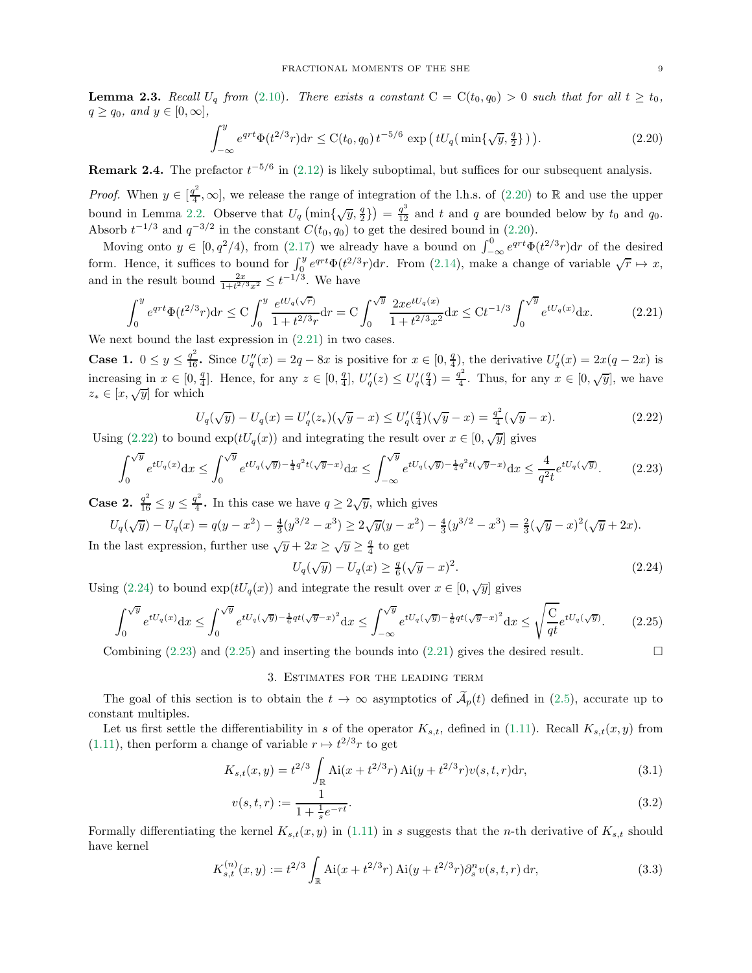<span id="page-8-9"></span>**Lemma 2.3.** Recall  $U_q$  from [\(2.10\)](#page-6-3). There exists a constant  $C = C(t_0, q_0) > 0$  such that for all  $t \ge t_0$ ,  $q \geq q_0$ , and  $y \in [0, \infty]$ ,

<span id="page-8-1"></span>
$$
\int_{-\infty}^{y} e^{qrt} \Phi(t^{2/3}r) dr \le C(t_0, q_0) t^{-5/6} \exp\left(tU_q(\min\{\sqrt{y}, \frac{q}{2}\})\right).
$$
 (2.20)

**Remark 2.4.** The prefactor  $t^{-5/6}$  in [\(2.12\)](#page-6-4) is likely suboptimal, but suffices for our subsequent analysis.

*Proof.* When  $y \in \left[\frac{q^2}{4}\right]$  $\frac{d^2}{4}$ ,  $\infty$ , we release the range of integration of the l.h.s. of [\(2.20\)](#page-8-1) to R and use the upper bound in Lemma [2.2.](#page-6-5) Observe that  $U_q(\min\{\sqrt{y},\frac{q}{2}\}) = \frac{q^3}{12}$  and t and q are bounded below by  $t_0$  and  $q_0$ . Absorb  $t^{-1/3}$  and  $q^{-3/2}$  in the constant  $C(t_0, q_0)$  to get the desired bound in [\(2.20\)](#page-8-1).

Moving onto  $y \in [0, q^2/4)$ , from  $(2.17)$  we already have a bound on  $\int_{-\infty}^0 e^{qrt} \Phi(t^{2/3} r) dr$  of the desired form. Hence, it suffices to bound for  $\int_{0}^{y} e^{qrt} \Phi(t^{2/3}r) dr$ . From [\(2.14\)](#page-7-0), make a change of variable  $\sqrt{r} \mapsto x$ , and in the result bound  $\frac{2x}{1+t^{2/3}x^2} \le t^{-1/3}$ . We have

$$
\int_0^y e^{qrt} \Phi(t^{2/3} r) dr \le C \int_0^y \frac{e^{tU_q(\sqrt{r})}}{1 + t^{2/3} r} dr = C \int_0^{\sqrt{y}} \frac{2x e^{tU_q(x)}}{1 + t^{2/3} x^2} dx \le Ct^{-1/3} \int_0^{\sqrt{y}} e^{tU_q(x)} dx.
$$
 (2.21)

We next bound the last expression in  $(2.21)$  in two cases.

**Case 1.**  $0 \le y \le \frac{q^2}{16}$ . Since  $U_q''(x) = 2q - 8x$  is positive for  $x \in [0, \frac{q}{4})$ , the derivative  $U_q'(x) = 2x(q - 2x)$  is increasing in  $x \in [0, \frac{q}{4}]$ . Hence, for any  $z \in [0, \frac{q}{4}]$ ,  $U_q'(z) \leq U_q'(\frac{q}{4}) = \frac{q^2}{4}$  $\frac{d^2}{4}$ . Thus, for any  $x \in [0, \sqrt{y}]$ , we have  $z_* \in [x, \sqrt{y}]$  for which

$$
U_q(\sqrt{y}) - U_q(x) = U'_q(z_*)(\sqrt{y} - x) \le U'_q(\frac{q}{4})(\sqrt{y} - x) = \frac{q^2}{4}(\sqrt{y} - x).
$$
\n(2.22)

Using [\(2.22\)](#page-8-3) to bound  $\exp(tU_q(x))$  and integrating the result over  $x \in [0, \sqrt{y}]$  gives

$$
\int_0^{\sqrt{y}} e^{tU_q(x)} dx \le \int_0^{\sqrt{y}} e^{tU_q(\sqrt{y}) - \frac{1}{4}q^2t(\sqrt{y}-x)} dx \le \int_{-\infty}^{\sqrt{y}} e^{tU_q(\sqrt{y}) - \frac{1}{4}q^2t(\sqrt{y}-x)} dx \le \frac{4}{q^2t} e^{tU_q(\sqrt{y})}.
$$
 (2.23)

**Case 2.**  $\frac{q^2}{16} \le y \le \frac{q^2}{4}$  $\frac{d^2}{4}$ . In this case we have  $q \ge 2\sqrt{y}$ , which gives

$$
U_q(\sqrt{y}) - U_q(x) = q(y - x^2) - \frac{4}{3}(y^{3/2} - x^3) \ge 2\sqrt{y}(y - x^2) - \frac{4}{3}(y^{3/2} - x^3) = \frac{2}{3}(\sqrt{y} - x)^2(\sqrt{y} + 2x).
$$

In the last expression, further use  $\sqrt{y} + 2x \ge \sqrt{y} \ge \frac{q}{4}$  to get

<span id="page-8-6"></span><span id="page-8-5"></span><span id="page-8-4"></span><span id="page-8-3"></span><span id="page-8-2"></span>
$$
U_q(\sqrt{y}) - U_q(x) \ge \frac{q}{6}(\sqrt{y} - x)^2.
$$
 (2.24)

Using [\(2.24\)](#page-8-4) to bound  $\exp(tU_q(x))$  and integrate the result over  $x \in [0, \sqrt{y}]$  gives

$$
\int_0^{\sqrt{y}} e^{tU_q(x)} dx \le \int_0^{\sqrt{y}} e^{tU_q(\sqrt{y}) - \frac{1}{6}qt(\sqrt{y}-x)^2} dx \le \int_{-\infty}^{\sqrt{y}} e^{tU_q(\sqrt{y}) - \frac{1}{6}qt(\sqrt{y}-x)^2} dx \le \sqrt{\frac{C}{qt}} e^{tU_q(\sqrt{y})}.
$$
 (2.25)

<span id="page-8-0"></span>Combining [\(2.23\)](#page-8-5) and [\(2.25\)](#page-8-6) and inserting the bounds into [\(2.21\)](#page-8-2) gives the desired result.

# <span id="page-8-10"></span><span id="page-8-7"></span>3. Estimates for the leading term

The goal of this section is to obtain the  $t \to \infty$  asymptotics of  $\mathcal{A}_p(t)$  defined in [\(2.5\)](#page-5-2), accurate up to constant multiples.

Let us first settle the differentiability in s of the operator  $K_{s,t}$ , defined in [\(1.11\)](#page-3-5). Recall  $K_{s,t}(x, y)$  from [\(1.11\)](#page-3-5), then perform a change of variable  $r \mapsto t^{2/3}r$  to get

$$
K_{s,t}(x,y) = t^{2/3} \int_{\mathbb{R}} Ai(x + t^{2/3}r) Ai(y + t^{2/3}r)v(s,t,r) dr,
$$
\n(3.1)

<span id="page-8-8"></span>
$$
v(s,t,r) := \frac{1}{1 + \frac{1}{s}e^{-rt}}.\tag{3.2}
$$

Formally differentiating the kernel  $K_{s,t}(x, y)$  in [\(1.11\)](#page-3-5) in s suggests that the *n*-th derivative of  $K_{s,t}$  should have kernel

$$
K_{s,t}^{(n)}(x,y) := t^{2/3} \int_{\mathbb{R}} \text{Ai}(x + t^{2/3}r) \, \text{Ai}(y + t^{2/3}r) \partial_s^n v(s,t,r) \, \text{d}r,
$$
\n(3.3)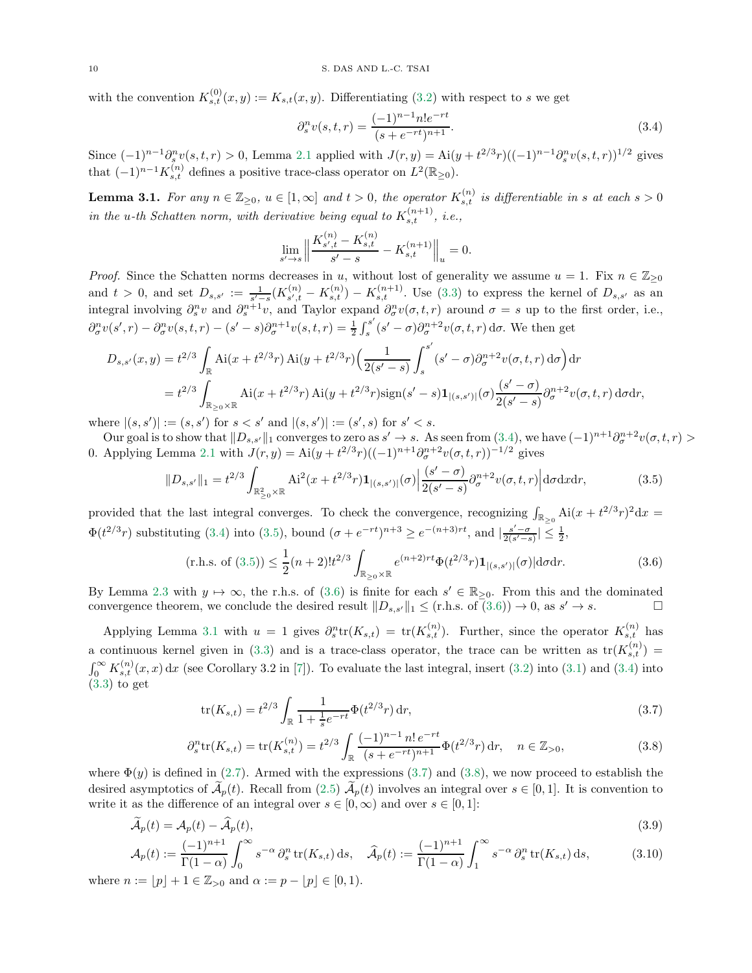with the convention  $K_{s,t}^{(0)}(x,y) := K_{s,t}(x,y)$ . Differentiating [\(3.2\)](#page-8-7) with respect to s we get

<span id="page-9-0"></span>
$$
\partial_s^n v(s, t, r) = \frac{(-1)^{n-1} n! e^{-rt}}{(s + e^{-rt})^{n+1}}.
$$
\n(3.4)

Since  $(-1)^{n-1} \partial_s^n v(s,t,r) > 0$ , Lemma [2.1](#page-6-0) applied with  $J(r, y) = Ai(y + t^{2/3}r)((-1)^{n-1} \partial_s^n v(s,t,r))^{1/2}$  gives that  $(-1)^{n-1} K_{s,t}^{(n)}$  defines a positive trace-class operator on  $L^2(\mathbb{R}_{\geq 0})$ .

<span id="page-9-3"></span>**Lemma 3.1.** For any  $n \in \mathbb{Z}_{\geq 0}$ ,  $u \in [1,\infty]$  and  $t > 0$ , the operator  $K_{s,t}^{(n)}$  is differentiable in s at each  $s > 0$ in the u-th Schatten norm, with derivative being equal to  $K_{s,t}^{(n+1)}$ , i.e.,

<span id="page-9-1"></span>
$$
\lim_{s' \to s} \left\| \frac{K_{s',t}^{(n)} - K_{s,t}^{(n)}}{s' - s} - K_{s,t}^{(n+1)} \right\|_u = 0.
$$

*Proof.* Since the Schatten norms decreases in u, without lost of generality we assume  $u = 1$ . Fix  $n \in \mathbb{Z}_{\geq 0}$ and  $t > 0$ , and set  $D_{s,s'} := \frac{1}{s'-s} (K_{s',t}^{(n)})$  $S_{s',t}^{(n)} - K_{s,t}^{(n)} - K_{s,t}^{(n+1)}$ . Use [\(3.3\)](#page-8-8) to express the kernel of  $D_{s,s'}$  as an integral involving  $\partial_s^n v$  and  $\partial_s^{n+1} v$ , and Taylor expand  $\partial_\sigma^n v(\sigma, t, r)$  around  $\sigma = s$  up to the first order, i.e.,  $\partial_{\sigma}^{n}v(s',r) - \partial_{\sigma}^{n}v(s,t,r) - (s'-s)\partial_{\sigma}^{n+1}v(s,t,r) = \frac{1}{2}\int_{s}^{s'}(s'-\sigma)\partial_{\sigma}^{n+2}v(\sigma,t,r) d\sigma$ . We then get

$$
D_{s,s'}(x,y) = t^{2/3} \int_{\mathbb{R}} Ai(x + t^{2/3}r) Ai(y + t^{2/3}r) \left( \frac{1}{2(s'-s)} \int_s^{s'} (s'-\sigma) \partial_{\sigma}^{n+2} v(\sigma, t, r) d\sigma \right) dr
$$
  
=  $t^{2/3} \int_{\mathbb{R}_{\geq 0} \times \mathbb{R}} Ai(x + t^{2/3}r) Ai(y + t^{2/3}r) sign(s'-s) \mathbf{1}_{|(s,s')|}(\sigma) \frac{(s'-\sigma)}{2(s'-s)} \partial_{\sigma}^{n+2} v(\sigma, t, r) d\sigma dr,$ 

where  $|(s, s')| := (s, s')$  for  $s < s'$  and  $|(s, s')| := (s', s)$  for  $s' < s$ .

Our goal is to show that  $||D_{s,s'}||_1$  converges to zero as  $s' \to s$ . As seen from  $(3.4)$ , we have  $(-1)^{n+1}\partial_{\sigma}^{n+2}v(\sigma,t,r) >$ 0. Applying Lemma [2.1](#page-6-0) with  $J(r, y) = Ai(y + t^{2/3}r)((-1)^{n+1}\partial_{\sigma}^{n+2}v(\sigma, t, r))^{-1/2}$  gives

$$
||D_{s,s'}||_1 = t^{2/3} \int_{\mathbb{R}^2_{\geq 0} \times \mathbb{R}} \mathrm{Ai}^2(x + t^{2/3} r) \mathbf{1}_{|(s,s')}(\sigma) \Big| \frac{(s' - \sigma)}{2(s' - s)} \partial_{\sigma}^{n+2} v(\sigma, t, r) \Big| \mathrm{d}\sigma \mathrm{d}x \mathrm{d}r,\tag{3.5}
$$

provided that the last integral converges. To check the convergence, recognizing  $\int_{\mathbb{R}_{\geq 0}} Ai(x + t^{2/3}r)^2 dx =$  $\Phi(t^{2/3}r)$  substituting [\(3.4\)](#page-9-0) into [\(3.5\)](#page-9-1), bound  $(\sigma + e^{-rt})^{n+3} \ge e^{-(n+3)rt}$ , and  $\left|\frac{s'-\sigma}{2(s'-s)}\right| \le \frac{1}{2}$ ,

<span id="page-9-2"></span>(r.h.s. of (3.5)) 
$$
\leq \frac{1}{2}(n+2)!t^{2/3}\int_{\mathbb{R}_{\geq 0}\times\mathbb{R}}e^{(n+2)r t}\Phi(t^{2/3}r)\mathbf{1}_{|(s,s')}|(\sigma)|d\sigma dr.
$$
 (3.6)

By Lemma [2.3](#page-8-9) with  $y \mapsto \infty$ , the r.h.s. of [\(3.6\)](#page-9-2) is finite for each  $s' \in \mathbb{R}_{\geq 0}$ . From this and the dominated convergence theorem, we conclude the desired result  $||D_{s,s'}||_1 \leq (r.h.s. \text{ of } (3.6)) \to 0$  $||D_{s,s'}||_1 \leq (r.h.s. \text{ of } (3.6)) \to 0$  $||D_{s,s'}||_1 \leq (r.h.s. \text{ of } (3.6)) \to 0$ , as  $s' \to s$ .

Applying Lemma [3.1](#page-9-3) with  $u = 1$  gives  $\partial_s^n \text{tr}(K_{s,t}) = \text{tr}(K_{s,t}^{(n)})$ . Further, since the operator  $K_{s,t}^{(n)}$  has a continuous kernel given in [\(3.3\)](#page-8-8) and is a trace-class operator, the trace can be written as  $tr(K_{s,t}^{(n)})$  $\int_0^\infty K_{s,t}^{(n)}(x,x) dx$  (see Corollary 3.2 in [\[7\]](#page-17-9)). To evaluate the last integral, insert [\(3.2\)](#page-8-7) into [\(3.1\)](#page-8-10) and [\(3.4\)](#page-9-0) into [\(3.3\)](#page-8-8) to get

<span id="page-9-6"></span><span id="page-9-5"></span><span id="page-9-4"></span>
$$
\text{tr}(K_{s,t}) = t^{2/3} \int_{\mathbb{R}} \frac{1}{1 + \frac{1}{s}e^{-rt}} \Phi(t^{2/3}r) \,dr,\tag{3.7}
$$

$$
\partial_s^n \text{tr}(K_{s,t}) = \text{tr}(K_{s,t}^{(n)}) = t^{2/3} \int_{\mathbb{R}} \frac{(-1)^{n-1} n! e^{-rt}}{(s + e^{-rt})^{n+1}} \Phi(t^{2/3} r) \, \text{d}r, \quad n \in \mathbb{Z}_{>0},\tag{3.8}
$$

where  $\Phi(y)$  is defined in [\(2.7\)](#page-6-6). Armed with the expressions [\(3.7\)](#page-9-4) and [\(3.8\)](#page-9-5), we now proceed to establish the desired asymptotics of  $\widetilde{\mathcal{A}}_p(t)$ . Recall from [\(2.5\)](#page-5-2)  $\widetilde{\mathcal{A}}_p(t)$  involves an integral over  $s \in [0,1]$ . It is convention to write it as the difference of an integral over  $s \in [0, \infty)$  and over  $s \in [0, 1]$ :

$$
\widetilde{\mathcal{A}}_p(t) = \mathcal{A}_p(t) - \widehat{\mathcal{A}}_p(t),\tag{3.9}
$$

$$
\mathcal{A}_p(t) := \frac{(-1)^{n+1}}{\Gamma(1-\alpha)} \int_0^\infty s^{-\alpha} \, \partial_s^n \operatorname{tr}(K_{s,t}) \, \mathrm{d}s, \quad \widehat{\mathcal{A}}_p(t) := \frac{(-1)^{n+1}}{\Gamma(1-\alpha)} \int_1^\infty s^{-\alpha} \, \partial_s^n \operatorname{tr}(K_{s,t}) \, \mathrm{d}s,\tag{3.10}
$$

where  $n := |p| + 1 \in \mathbb{Z}_{\geq 0}$  and  $\alpha := p - |p| \in [0, 1)$ .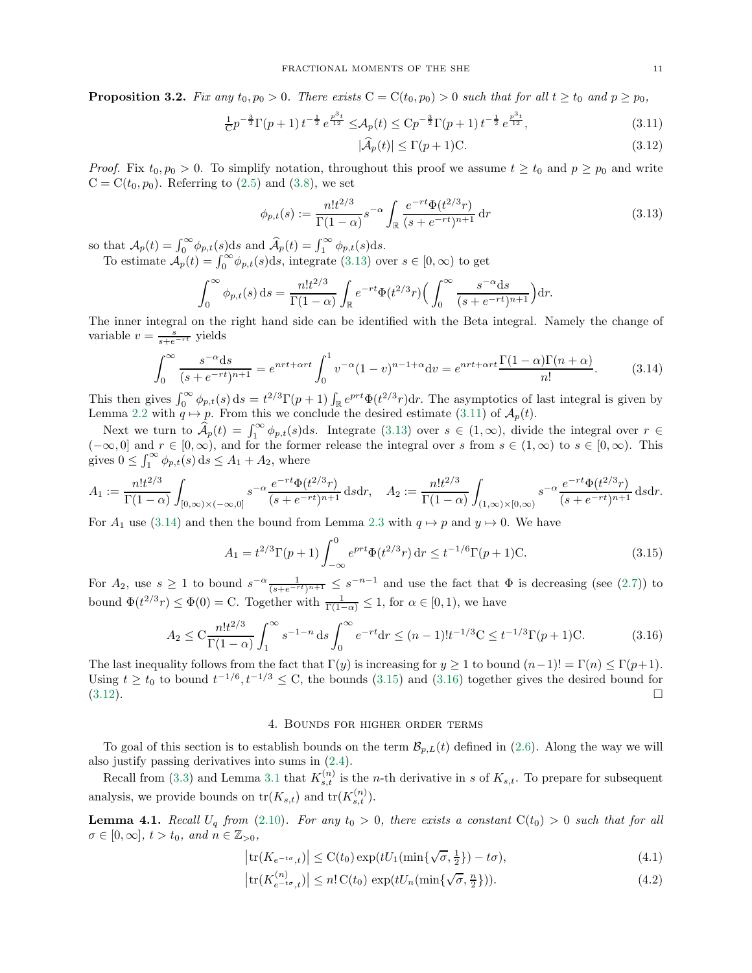<span id="page-10-10"></span>**Proposition 3.2.** Fix any  $t_0, p_0 > 0$ . There exists  $C = C(t_0, p_0) > 0$  such that for all  $t \ge t_0$  and  $p \ge p_0$ ,

$$
\frac{1}{C}p^{-\frac{3}{2}}\Gamma(p+1)t^{-\frac{1}{2}}e^{\frac{p^3t}{12}} \leq \mathcal{A}_p(t) \leq C p^{-\frac{3}{2}}\Gamma(p+1)t^{-\frac{1}{2}}e^{\frac{p^3t}{12}},\tag{3.11}
$$

<span id="page-10-6"></span><span id="page-10-3"></span><span id="page-10-2"></span><span id="page-10-1"></span>
$$
|\widehat{\mathcal{A}}_p(t)| \le \Gamma(p+1)\mathcal{C}.\tag{3.12}
$$

*Proof.* Fix  $t_0, p_0 > 0$ . To simplify notation, throughout this proof we assume  $t \geq t_0$  and  $p \geq p_0$  and write  $C = C(t_0, p_0)$ . Referring to [\(2.5\)](#page-5-2) and [\(3.8\)](#page-9-5), we set

$$
\phi_{p,t}(s) := \frac{n!t^{2/3}}{\Gamma(1-\alpha)} s^{-\alpha} \int_{\mathbb{R}} \frac{e^{-rt} \Phi(t^{2/3}r)}{(s+e^{-rt})^{n+1}} dr \tag{3.13}
$$

so that  $\mathcal{A}_p(t) = \int_0^\infty \phi_{p,t}(s) \, ds$  and  $\widehat{\mathcal{A}}_p(t) = \int_1^\infty \phi_{p,t}(s) \, ds$ .

To estimate  $\mathcal{A}_p(t) = \int_0^\infty \phi_{p,t}(s)ds$ , integrate [\(3.13\)](#page-10-1) over  $s \in [0, \infty)$  to get

$$
\int_0^\infty \phi_{p,t}(s) \, ds = \frac{n! t^{2/3}}{\Gamma(1-\alpha)} \int_{\mathbb{R}} e^{-rt} \Phi(t^{2/3}r) \Big( \int_0^\infty \frac{s^{-\alpha} ds}{(s + e^{-rt})^{n+1}} \Big) dr.
$$

The inner integral on the right hand side can be identified with the Beta integral. Namely the change of variable  $v = \frac{s}{s + e^{-rt}}$  yields

$$
\int_0^\infty \frac{s^{-\alpha}ds}{(s+e^{-rt})^{n+1}} = e^{nrt+\alpha rt} \int_0^1 v^{-\alpha} (1-v)^{n-1+\alpha} dv = e^{nrt+\alpha rt} \frac{\Gamma(1-\alpha)\Gamma(n+\alpha)}{n!}.
$$
 (3.14)

This then gives  $\int_0^\infty \phi_{p,t}(s) ds = t^{2/3} \Gamma(p+1) \int_{\mathbb{R}} e^{prt} \Phi(t^{2/3}r) dr$ . The asymptotics of last integral is given by Lemma [2.2](#page-6-5) with  $q \mapsto p$ . From this we conclude the desired estimate [\(3.11\)](#page-10-2) of  $\mathcal{A}_p(t)$ .

Next we turn to  $\widehat{A}_p(t) = \int_1^\infty \phi_{p,t}(s)ds$ . Integrate [\(3.13\)](#page-10-1) over  $s \in (1,\infty)$ , divide the integral over  $r \in$  $(-\infty, 0]$  and  $r \in [0, \infty)$ , and for the former release the integral over s from  $s \in (1, \infty)$  to  $s \in [0, \infty)$ . This gives  $0 \leq \int_1^{\infty} \phi_{p,t}(s) ds \leq A_1 + A_2$ , where

$$
A_1 := \frac{n!t^{2/3}}{\Gamma(1-\alpha)} \int_{[0,\infty)\times(-\infty,0]} s^{-\alpha} \frac{e^{-rt} \Phi(t^{2/3}r)}{(s+e^{-rt})^{n+1}} ds dr, \quad A_2 := \frac{n!t^{2/3}}{\Gamma(1-\alpha)} \int_{(1,\infty)\times[0,\infty)} s^{-\alpha} \frac{e^{-rt} \Phi(t^{2/3}r)}{(s+e^{-rt})^{n+1}} ds dr.
$$

For  $A_1$  use [\(3.14\)](#page-10-3) and then the bound from Lemma [2.3](#page-8-9) with  $q \mapsto p$  and  $y \mapsto 0$ . We have

$$
A_1 = t^{2/3} \Gamma(p+1) \int_{-\infty}^0 e^{prt} \Phi(t^{2/3} r) dr \le t^{-1/6} \Gamma(p+1) C.
$$
 (3.15)

For  $A_2$ , use  $s \geq 1$  to bound  $s^{-\alpha} \frac{1}{(s+e^{-rt})^{n+1}} \leq s^{-n-1}$  and use the fact that  $\Phi$  is decreasing (see [\(2.7\)](#page-6-6)) to bound  $\Phi(t^{2/3}r) \leq \Phi(0) = C$ . Together with  $\frac{1}{\Gamma(1-\alpha)} \leq 1$ , for  $\alpha \in [0,1)$ , we have

$$
A_2 \le C \frac{n! t^{2/3}}{\Gamma(1-\alpha)} \int_1^\infty s^{-1-n} \, ds \int_0^\infty e^{-rt} \, dr \le (n-1)! t^{-1/3} C \le t^{-1/3} \Gamma(p+1) C. \tag{3.16}
$$

The last inequality follows from the fact that  $\Gamma(y)$  is increasing for  $y \ge 1$  to bound  $(n-1)! = \Gamma(n) \le \Gamma(p+1)$ . Using  $t \ge t_0$  to bound  $t^{-1/6}, t^{-1/3} \le C$ , the bounds [\(3.15\)](#page-10-4) and [\(3.16\)](#page-10-5) together gives the desired bound for  $(3.12)$ .

#### <span id="page-10-7"></span><span id="page-10-5"></span><span id="page-10-4"></span>4. Bounds for higher order terms

<span id="page-10-0"></span>To goal of this section is to establish bounds on the term  $\mathcal{B}_{p,L}(t)$  defined in [\(2.6\)](#page-5-3). Along the way we will also justify passing derivatives into sums in [\(2.4\)](#page-5-4).

Recall from [\(3.3\)](#page-8-8) and Lemma [3.1](#page-9-3) that  $K_{s,t}^{(n)}$  is the *n*-th derivative in s of  $K_{s,t}$ . To prepare for subsequent analysis, we provide bounds on  $tr(K_{s,t})$  and  $tr(K_{s,t}^{(n)})$ .

<span id="page-10-9"></span>**Lemma 4.1.** Recall  $U_q$  from [\(2.10\)](#page-6-3). For any  $t_0 > 0$ , there exists a constant  $C(t_0) > 0$  such that for all  $\sigma \in [0,\infty], t > t_0, \text{ and } n \in \mathbb{Z}_{>0},$ 

<span id="page-10-8"></span>
$$
\left|\text{tr}(K_{e^{-t\sigma},t})\right| \leq \text{C}(t_0) \exp(tU_1(\min\{\sqrt{\sigma},\frac{1}{2}\}) - t\sigma),\tag{4.1}
$$

$$
\left|\operatorname{tr}(K_{e^{-t\sigma},t}^{(n)})\right| \le n! \operatorname{C}(t_0) \, \exp(tU_n(\min\{\sqrt{\sigma}, \frac{n}{2}\})).\tag{4.2}
$$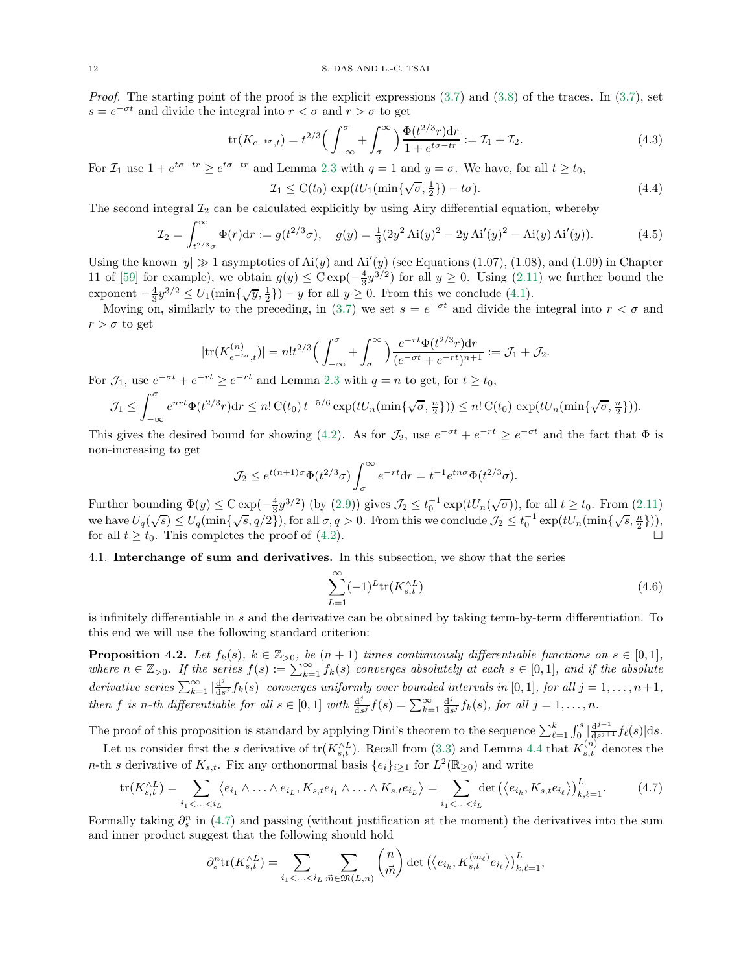*Proof.* The starting point of the proof is the explicit expressions  $(3.7)$  and  $(3.8)$  of the traces. In  $(3.7)$ , set  $s = e^{-\sigma t}$  and divide the integral into  $r < \sigma$  and  $r > \sigma$  to get

$$
\text{tr}(K_{e^{-t\sigma},t}) = t^{2/3} \Big( \int_{-\infty}^{\sigma} + \int_{\sigma}^{\infty} \Big) \frac{\Phi(t^{2/3}r) \text{d}r}{1 + e^{t\sigma - tr}} := \mathcal{I}_1 + \mathcal{I}_2.
$$
\n(4.3)

For  $\mathcal{I}_1$  use  $1 + e^{t\sigma - tr} \ge e^{t\sigma - tr}$  and Lemma [2.3](#page-8-9) with  $q = 1$  and  $y = \sigma$ . We have, for all  $t \ge t_0$ ,

$$
\mathcal{I}_1 \leq \mathcal{C}(t_0) \, \exp(tU_1(\min\{\sqrt{\sigma}, \frac{1}{2}\}) - t\sigma). \tag{4.4}
$$

The second integral  $\mathcal{I}_2$  can be calculated explicitly by using Airy differential equation, whereby

$$
\mathcal{I}_2 = \int_{t^{2/3}\sigma}^{\infty} \Phi(r) dr := g(t^{2/3}\sigma), \quad g(y) = \frac{1}{3} (2y^2 \text{ Ai}(y)^2 - 2y \text{ Ai}'(y)^2 - \text{ Ai}(y) \text{ Ai}'(y)). \tag{4.5}
$$

Using the known  $|y| \gg 1$  asymptotics of Ai(y) and Ai'(y) (see Equations (1.07), (1.08), and (1.09) in Chapter 11 of [\[59\]](#page-19-18) for example), we obtain  $g(y) \leq C \exp(-\frac{4}{3}y^{3/2})$  for all  $y \geq 0$ . Using [\(2.11\)](#page-6-7) we further bound the exponent  $-\frac{4}{3}y^{3/2} \le U_1(\min\{\sqrt{y},\frac{1}{2}\}) - y$  for all  $y \ge 0$ . From this we conclude [\(4.1\)](#page-10-7).

Moving on, similarly to the preceding, in [\(3.7\)](#page-9-4) we set  $s = e^{-\sigma t}$  and divide the integral into  $r < \sigma$  and  $r > \sigma$  to get

$$
|\text{tr}(K_{e^{-t\sigma},t}^{(n)})| = n!t^{2/3} \Big(\int_{-\infty}^{\sigma} + \int_{\sigma}^{\infty} \Big) \frac{e^{-rt} \Phi(t^{2/3}r) dr}{(e^{-\sigma t} + e^{-rt})^{n+1}} := \mathcal{J}_1 + \mathcal{J}_2.
$$

For  $\mathcal{J}_1$ , use  $e^{-\sigma t} + e^{-rt} \ge e^{-rt}$  and Lemma [2.3](#page-8-9) with  $q = n$  to get, for  $t \ge t_0$ ,

$$
\mathcal{J}_1 \leq \int_{-\infty}^{\sigma} e^{nrt} \Phi(t^{2/3}r) dr \leq n! C(t_0) t^{-5/6} \exp(tU_n(\min\{\sqrt{\sigma}, \frac{n}{2}\})) \leq n! C(t_0) \exp(tU_n(\min\{\sqrt{\sigma}, \frac{n}{2}\})).
$$

This gives the desired bound for showing [\(4.2\)](#page-10-8). As for  $\mathcal{J}_2$ , use  $e^{-\sigma t} + e^{-rt} \ge e^{-\sigma t}$  and the fact that  $\Phi$  is non-increasing to get

$$
\mathcal{J}_2 \le e^{t(n+1)\sigma} \Phi(t^{2/3}\sigma) \int_{\sigma}^{\infty} e^{-rt} dr = t^{-1} e^{tn\sigma} \Phi(t^{2/3}\sigma).
$$

Further bounding  $\Phi(y) \leq C \exp(-\frac{4}{3}y^{3/2})$  (by [\(2.9\)](#page-6-2)) gives  $\mathcal{J}_2 \leq t_0^{-1} \exp(tU_n(\sqrt{\sigma}))$ , for all  $t \geq t_0$ . From [\(2.11\)](#page-6-7) we have  $U_q(\sqrt{s}) \leq U_q(\min\{\sqrt{s}, q/2\})$ , for all  $\sigma, q > 0$ . From this we conclude  $\mathcal{J}_2 \leq t_0^{-1} \exp(tU_n(\min\{\sqrt{s}, \frac{n}{2}\})),$ for all  $t \geq t_0$ . This completes the proof of [\(4.2\)](#page-10-8).

# <span id="page-11-0"></span>4.1. Interchange of sum and derivatives. In this subsection, we show that the series

<span id="page-11-3"></span><span id="page-11-1"></span>
$$
\sum_{L=1}^{\infty} (-1)^L \text{tr}(K_{s,t}^{\wedge L})
$$
\n(4.6)

is infinitely differentiable in s and the derivative can be obtained by taking term-by-term differentiation. To this end we will use the following standard criterion:

<span id="page-11-2"></span>**Proposition 4.2.** Let  $f_k(s)$ ,  $k \in \mathbb{Z}_{\geq 0}$ , be  $(n + 1)$  times continuously differentiable functions on  $s \in [0, 1]$ , where  $n \in \mathbb{Z}_{>0}$ . If the series  $f(s) := \sum_{k=1}^{\infty} f_k(s)$  converges absolutely at each  $s \in [0,1]$ , and if the absolute *derivative series*  $\sum_{k=1}^{\infty} |\frac{d^j}{ds}|$  $\frac{d^3}{ds^j} f_k(s)$  converges uniformly over bounded intervals in [0, 1], for all  $j = 1, \ldots, n+1$ , then f is n-th differentiable for all  $s \in [0,1]$  with  $\frac{d^j}{ds^j}$  $\frac{d^j}{ds^j}f(s)=\sum_{k=1}^{\infty}\frac{d^j}{ds^j}$  $\frac{d^j}{ds^j} f_k(s)$ , for all  $j = 1, \ldots, n$ .

The proof of this proposition is standard by applying Dini's theorem to the sequence  $\sum_{\ell=1}^k \int_0^s |\frac{d^{j+1}}{ds^{j+1}}$  $rac{\mathrm{d}^{j+1}}{\mathrm{d}s^{j+1}}f_{\ell}(s)|\mathrm{d}s.$ 

Let us consider first the s derivative of  $tr(K_{s,t}^{\wedge L})$ . Recall from [\(3.3\)](#page-8-8) and Lemma [4.4](#page-12-0) that  $K_{s,t}^{(n)}$  denotes the n-th s derivative of  $K_{s,t}$ . Fix any orthonormal basis  $\{e_i\}_{i\geq 1}$  for  $L^2(\mathbb{R}_{\geq 0})$  and write

$$
\operatorname{tr}(K_{s,t}^{\wedge L}) = \sum_{i_1 < \ldots < i_L} \langle e_{i_1} \wedge \ldots \wedge e_{i_L}, K_{s,t} e_{i_1} \wedge \ldots \wedge K_{s,t} e_{i_L} \rangle = \sum_{i_1 < \ldots < i_L} \det \left( \langle e_{i_k}, K_{s,t} e_{i_\ell} \rangle \right)_{k,\ell=1}^L. \tag{4.7}
$$

Formally taking  $\partial_s^n$  in [\(4.7\)](#page-11-1) and passing (without justification at the moment) the derivatives into the sum and inner product suggest that the following should hold

$$
\partial_s^n \text{tr}(K_{s,t}^{\wedge L}) = \sum_{i_1 < \ldots < i_L} \sum_{\vec{m} \in \mathfrak{M}(L,n)} \binom{n}{\vec{m}} \det \left( \langle e_{i_k}, K_{s,t}^{(m_\ell)} e_{i_\ell} \rangle \right)_{k,\ell=1}^L,
$$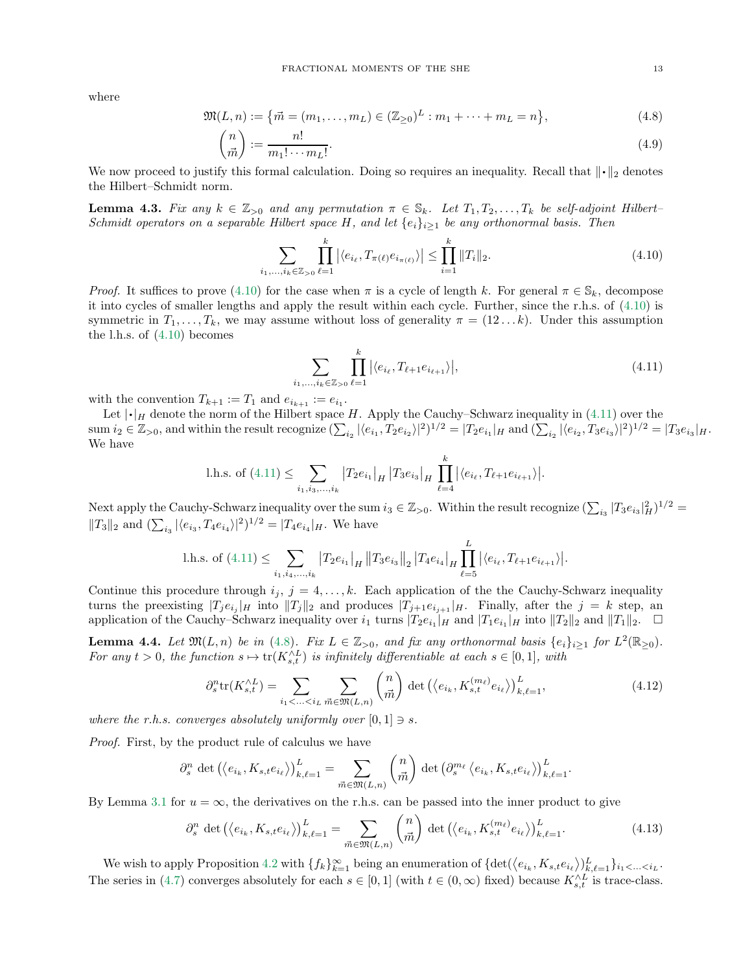where

$$
\mathfrak{M}(L,n) := \{ \vec{m} = (m_1, \dots, m_L) \in (\mathbb{Z}_{\geq 0})^L : m_1 + \dots + m_L = n \},\tag{4.8}
$$

$$
\binom{n}{\vec{m}} := \frac{n!}{m_1! \cdots m_L!}.
$$
\n(4.9)

We now proceed to justify this formal calculation. Doing so requires an inequality. Recall that  $\|\cdot\|_2$  denotes the Hilbert–Schmidt norm.

<span id="page-12-6"></span>**Lemma 4.3.** Fix any  $k \in \mathbb{Z}_{>0}$  and any permutation  $\pi \in \mathbb{S}_k$ . Let  $T_1, T_2, \ldots, T_k$  be self-adjoint Hilbert– Schmidt operators on a separable Hilbert space H, and let  $\{e_i\}_{i>1}$  be any orthonormal basis. Then

<span id="page-12-3"></span>
$$
\sum_{i_1,\dots,i_k\in\mathbb{Z}_{>0}}\prod_{\ell=1}^k |\langle e_{i_\ell},T_{\pi(\ell)}e_{i_{\pi(\ell)}}\rangle| \le \prod_{i=1}^k \|T_i\|_2.
$$
\n(4.10)

*Proof.* It suffices to prove [\(4.10\)](#page-12-1) for the case when  $\pi$  is a cycle of length k. For general  $\pi \in S_k$ , decompose it into cycles of smaller lengths and apply the result within each cycle. Further, since the r.h.s. of [\(4.10\)](#page-12-1) is symmetric in  $T_1, \ldots, T_k$ , we may assume without loss of generality  $\pi = (12 \ldots k)$ . Under this assumption the l.h.s. of [\(4.10\)](#page-12-1) becomes

<span id="page-12-2"></span><span id="page-12-1"></span>
$$
\sum_{i_1,\dots,i_k \in \mathbb{Z}_{>0}} \prod_{\ell=1}^k |\langle e_{i_\ell}, T_{\ell+1} e_{i_{\ell+1}} \rangle|,
$$
\n(4.11)

with the convention  $T_{k+1} := T_1$  and  $e_{i_{k+1}} := e_{i_1}$ .

Let  $|\cdot|_H$  denote the norm of the Hilbert space H. Apply the Cauchy–Schwarz inequality in [\(4.11\)](#page-12-2) over the  $\text{sum } i_2 \in \mathbb{Z}_{>0}$ , and within the result recognize  $(\sum_{i_2} |\langle e_{i_1}, T_2 e_{i_2} \rangle|^2)^{1/2} = |T_2 e_{i_1}|_H$  and  $(\sum_{i_2} |\langle e_{i_2}, T_3 e_{i_3} \rangle|^2)^{1/2} = |T_3 e_{i_3}|_H$ . We have

l.h.s. of (4.11) 
$$
\leq \sum_{i_1, i_3, ..., i_k} |T_2 e_{i_1}|_H |T_3 e_{i_3}|_H \prod_{\ell=4}^k |\langle e_{i_\ell}, T_{\ell+1} e_{i_{\ell+1}} \rangle|.
$$

Next apply the Cauchy-Schwarz inequality over the sum  $i_3 \in \mathbb{Z}_{>0}$ . Within the result recognize  $(\sum_{i_3} |T_3 e_{i_3}|_H^2)^{1/2}$  $||T_3||_2$  and  $(\sum_{i_3} |\langle e_{i_3}, T_4 e_{i_4}\rangle|^2)^{1/2} = |T_4 e_{i_4}|_H$ . We have

l.h.s. of (4.11) 
$$
\leq \sum_{i_1, i_4, ..., i_k} |T_2 e_{i_1}|_H ||T_3 e_{i_3}||_2 |T_4 e_{i_4}|_H \prod_{\ell=5}^L |\langle e_{i_\ell}, T_{\ell+1} e_{i_{\ell+1}} \rangle|.
$$

Continue this procedure through  $i_j$ ,  $j = 4, ..., k$ . Each application of the the Cauchy-Schwarz inequality turns the preexisting  $|T_j e_{i_j}|_H$  into  $||T_j||_2$  and produces  $|T_{j+1} e_{i_{j+1}}|_H$ . Finally, after the  $j = k$  step, and application of the Cauchy–Schwarz inequality over  $i_1$  turns  $|T_2e_{i_1}|_H$  and  $|T_1e_{i_1}|_H$  into  $||T_2||_2$  and  $||T_1||_2$ .  $\Box$ 

<span id="page-12-0"></span>**Lemma 4.4.** Let  $\mathfrak{M}(L,n)$  be in [\(4.8\)](#page-12-3). Fix  $L \in \mathbb{Z}_{>0}$ , and fix any orthonormal basis  $\{e_i\}_{i\geq 1}$  for  $L^2(\mathbb{R}_{\geq 0})$ . For any  $t > 0$ , the function  $s \mapsto \text{tr}(K_{s,t}^{\wedge L})$  is infinitely differentiable at each  $s \in [0,1]$ , with

<span id="page-12-5"></span>
$$
\partial_s^n \text{tr}(K_{s,t}^{\wedge L}) = \sum_{i_1 < \ldots < i_L} \sum_{\vec{m} \in \mathfrak{M}(L,n)} \binom{n}{\vec{m}} \det \left( \langle e_{i_k}, K_{s,t}^{(m_\ell)} e_{i_\ell} \rangle \right)_{k,\ell=1}^L, \tag{4.12}
$$

where the r.h.s. converges absolutely uniformly over  $[0, 1] \ni s$ .

Proof. First, by the product rule of calculus we have

$$
\partial_s^n \det \left( \left\langle e_{i_k}, K_{s,t} e_{i_\ell} \right\rangle \right)_{k,\ell=1}^L = \sum_{\vec{m} \in \mathfrak{M}(L,n)} \binom{n}{\vec{m}} \det \left( \partial_s^{m_\ell} \left\langle e_{i_k}, K_{s,t} e_{i_\ell} \right\rangle \right)_{k,\ell=1}^L.
$$

By Lemma [3.1](#page-9-3) for  $u = \infty$ , the derivatives on the r.h.s. can be passed into the inner product to give

<span id="page-12-4"></span>
$$
\partial_s^n \det \left( \langle e_{i_k}, K_{s,t} e_{i_\ell} \rangle \right)_{k,\ell=1}^L = \sum_{\vec{m} \in \mathfrak{M}(L,n)} \binom{n}{\vec{m}} \det \left( \langle e_{i_k}, K_{s,t}^{(m_\ell)} e_{i_\ell} \rangle \right)_{k,\ell=1}^L. \tag{4.13}
$$

We wish to apply Proposition [4.2](#page-11-2) with  $\{f_k\}_{k=1}^{\infty}$  being an enumeration of  $\{\det(\langle e_{i_k}, K_{s,t}e_{i_\ell}\rangle)_{k,\ell=1}^L\}_{i_1<\ldots.$ The series in [\(4.7\)](#page-11-1) converges absolutely for each  $s \in [0,1]$  (with  $t \in (0,\infty)$  fixed) because  $K_{s,t}^{\wedge L}$  is trace-class.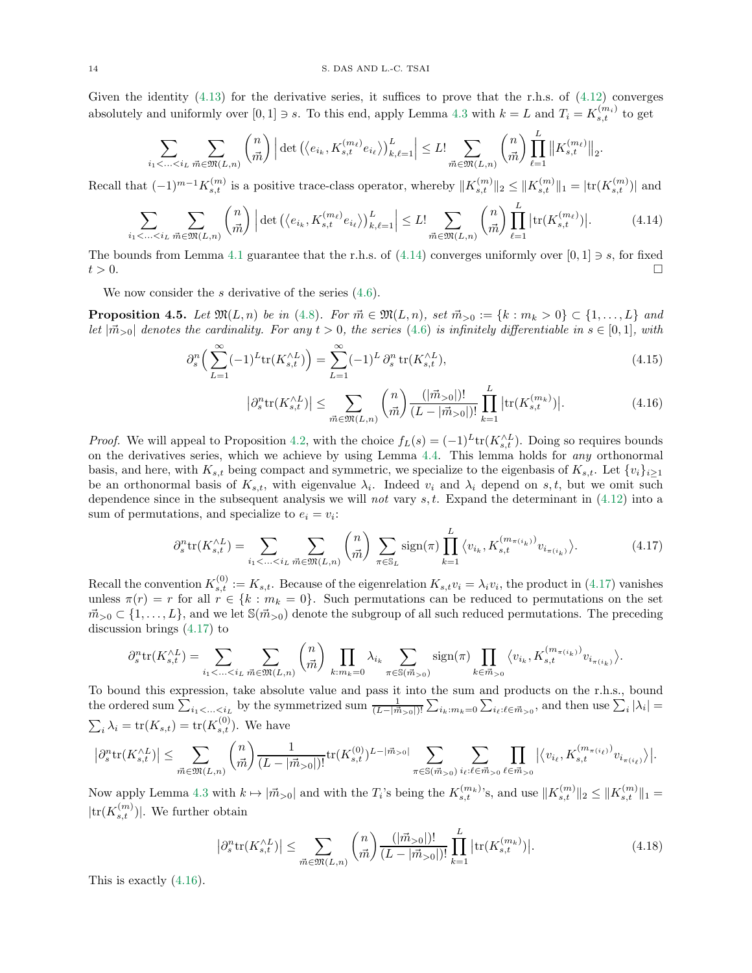Given the identity  $(4.13)$  for the derivative series, it suffices to prove that the r.h.s. of  $(4.12)$  converges absolutely and uniformly over  $[0,1] \ni s$ . To this end, apply Lemma [4.3](#page-12-6) with  $k = L$  and  $T_i = K_{s,t}^{(m_i)}$  to get

$$
\sum_{i_1 < \ldots < i_L} \sum_{\vec{m} \in \mathfrak{M}(L,n)} \binom{n}{\vec{m}} \left| \det \left( \left\langle e_{i_k}, K_{s,t}^{(m_\ell)} e_{i_\ell} \right\rangle \right)_{k,\ell=1}^L \right| \leq L! \sum_{\vec{m} \in \mathfrak{M}(L,n)} \binom{n}{\vec{m}} \prod_{\ell=1}^L \left\| K_{s,t}^{(m_\ell)} \right\|_2.
$$

Recall that  $(-1)^{m-1}K_{s,t}^{(m)}$  is a positive trace-class operator, whereby  $||K_{s,t}^{(m)}||_2 \leq ||K_{s,t}^{(m)}||_1 = |\text{tr}(K_{s,t}^{(m)})|$  and

$$
\sum_{i_1 < \ldots < i_L} \sum_{\vec{m} \in \mathfrak{M}(L,n)} \binom{n}{\vec{m}} \left| \det \left( \langle e_{i_k}, K_{s,t}^{(m_\ell)} e_{i_\ell} \rangle \right)_{k,\ell=1}^L \right| \leq L! \sum_{\vec{m} \in \mathfrak{M}(L,n)} \binom{n}{\vec{m}} \prod_{\ell=1}^L \left| \text{tr}(K_{s,t}^{(m_\ell)}) \right|.
$$
 (4.14)

The bounds from Lemma [4.1](#page-10-9) guarantee that the r.h.s. of [\(4.14\)](#page-13-0) converges uniformly over [0, 1]  $\Rightarrow$  s, for fixed  $t > 0$ .  $t > 0$ .

We now consider the s derivative of the series  $(4.6)$ .

**Proposition 4.5.** Let  $\mathfrak{M}(L, n)$  be in [\(4.8\)](#page-12-3). For  $\vec{m} \in \mathfrak{M}(L, n)$ , set  $\vec{m}_{>0} := \{k : m_k > 0\} \subset \{1, \ldots, L\}$  and let  $|\vec{m}_{>0}|$  denotes the cardinality. For any  $t > 0$ , the series [\(4.6\)](#page-11-3) is infinitely differentiable in  $s \in [0,1]$ , with

$$
\partial_s^n \left( \sum_{L=1}^{\infty} (-1)^L \text{tr}(K_{s,t}^{\wedge L}) \right) = \sum_{L=1}^{\infty} (-1)^L \partial_s^n \text{tr}(K_{s,t}^{\wedge L}), \tag{4.15}
$$

<span id="page-13-2"></span><span id="page-13-1"></span><span id="page-13-0"></span>
$$
\left| \partial_s^n \text{tr}(K_{s,t}^{\wedge L}) \right| \le \sum_{\vec{m} \in \mathfrak{M}(L,n)} \binom{n}{\vec{m}} \frac{(|\vec{m}_{>0}|)!}{(L - |\vec{m}_{>0}|)!} \prod_{k=1}^L |\text{tr}(K_{s,t}^{(m_k)})|.
$$
 (4.16)

*Proof.* We will appeal to Proposition [4.2,](#page-11-2) with the choice  $f_L(s) = (-1)^L tr(K_{s,t}^{\wedge L})$ . Doing so requires bounds on the derivatives series, which we achieve by using Lemma [4.4.](#page-12-0) This lemma holds for any orthonormal basis, and here, with  $K_{s,t}$  being compact and symmetric, we specialize to the eigenbasis of  $K_{s,t}$ . Let  $\{v_i\}_{i\geq 1}$ be an orthonormal basis of  $K_{s,t}$ , with eigenvalue  $\lambda_i$ . Indeed  $v_i$  and  $\lambda_i$  depend on  $s,t$ , but we omit such dependence since in the subsequent analysis we will not vary  $s, t$ . Expand the determinant in [\(4.12\)](#page-12-5) into a sum of permutations, and specialize to  $e_i = v_i$ :

$$
\partial_s^n \text{tr}(K_{s,t}^{\wedge L}) = \sum_{i_1 < \ldots < i_L} \sum_{\vec{m} \in \mathfrak{M}(L,n)} \binom{n}{\vec{m}} \sum_{\pi \in \mathbb{S}_L} \text{sign}(\pi) \prod_{k=1}^L \langle v_{i_k}, K_{s,t}^{(m_{\pi(i_k)})} v_{i_{\pi(i_k)}} \rangle. \tag{4.17}
$$

Recall the convention  $K_{s,t}^{(0)} := K_{s,t}$ . Because of the eigenrelation  $K_{s,t}v_i = \lambda_i v_i$ , the product in [\(4.17\)](#page-13-1) vanishes unless  $\pi(r) = r$  for all  $r \in \{k : m_k = 0\}$ . Such permutations can be reduced to permutations on the set  $\vec{m}_{>0} \subset \{1, \ldots, L\}$ , and we let  $\mathcal{S}(\vec{m}_{>0})$  denote the subgroup of all such reduced permutations. The preceding discussion brings [\(4.17\)](#page-13-1) to

$$
\partial_s^n \text{tr}(K_{s,t}^{\wedge L}) = \sum_{i_1 < \ldots < i_L} \sum_{\vec{m} \in \mathfrak{M}(L,n)} \binom{n}{\vec{m}} \prod_{k:m_k=0} \lambda_{i_k} \sum_{\pi \in \mathbb{S}(\vec{m}_{>0})} \text{sign}(\pi) \prod_{k \in \vec{m}_{>0}} \langle v_{i_k}, K_{s,t}^{(m_{\pi(i_k)})} v_{i_{\pi(i_k)}} \rangle.
$$

To bound this expression, take absolute value and pass it into the sum and products on the r.h.s., bound the ordered sum  $\sum_{i_1 < ... < i_L}$  by the symmetrized sum  $\frac{1}{(L - |\vec{m}_{>0}|)!} \sum_{i_k : m_k = 0} \sum_{i_{\ell} : \ell \in \vec{m}_{>0}}$ , and then use  $\sum_i |\lambda_i|$  $\sum_i \lambda_i = \text{tr}(K_{s,t}) = \text{tr}(K_{s,t}^{(0)})$ . We have

$$
\left| \partial_s^n {\rm tr}(K_{s,t}^{\wedge L}) \right| \leq \sum_{\vec{m} \in \mathfrak{M}(L,n)} \binom{n}{\vec{m}} \frac{1}{(L-|\vec{m}_{>0}|)!} {\rm tr}(K_{s,t}^{(0)})^{L-|\vec{m}_{>0}|} \sum_{\pi \in \mathbb{S}(\vec{m}_{>0})} \sum_{i_{\ell} : \ell \in \vec{m}_{>0}} \prod_{\ell \in \vec{m}_{>0}} \big| \big\langle v_{i_{\ell}}, K_{s,t}^{(m_{\pi(i_{\ell})})} v_{i_{\pi(i_{\ell})}} \big\rangle \big|.
$$

Now apply Lemma [4.3](#page-12-6) with  $k \mapsto |\vec{m}_{>0}|$  and with the  $T_i$ 's being the  $K_{s,t}^{(m_k)}$ 's, and use  $||K_{s,t}^{(m)}||_2 \le ||K_{s,t}^{(m)}||_1 =$  $|\text{tr}(K_{s,t}^{(m)})|$ . We further obtain

<span id="page-13-3"></span>
$$
\left| \partial_s^n \text{tr}(K_{s,t}^{\wedge L}) \right| \leq \sum_{\vec{m} \in \mathfrak{M}(L,n)} \binom{n}{\vec{m}} \frac{(|\vec{m}_{>0}|)!}{(L - |\vec{m}_{>0}|)!} \prod_{k=1}^L |\text{tr}(K_{s,t}^{(m_k)})|.
$$
 (4.18)

This is exactly [\(4.16\)](#page-13-2).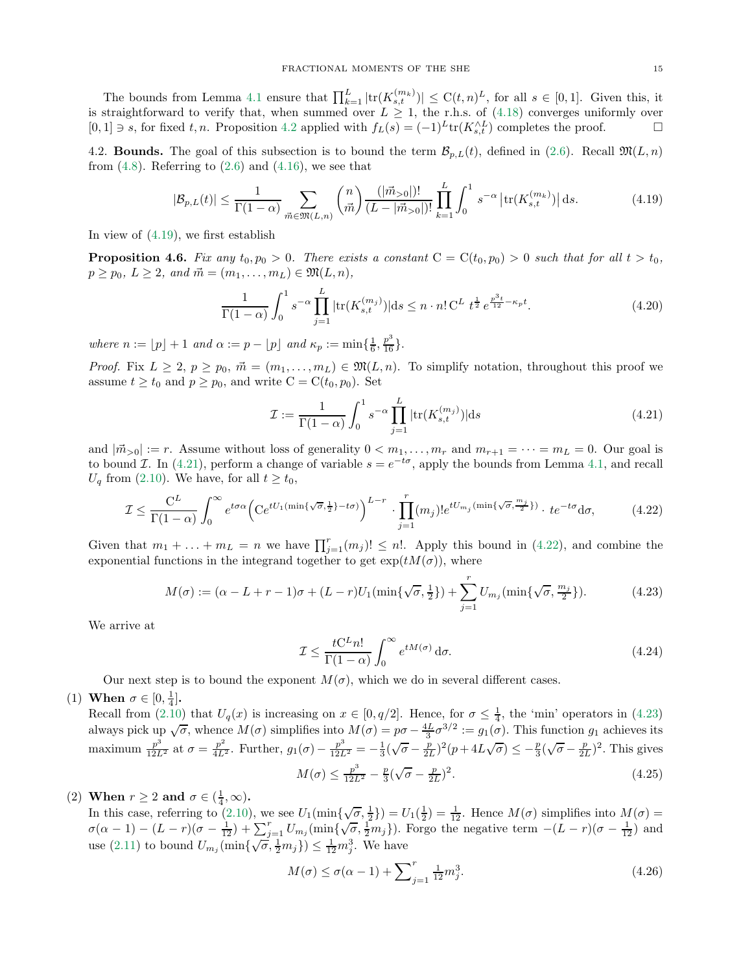The bounds from Lemma [4.1](#page-10-9) ensure that  $\prod_{k=1}^{L} |tr(K_{s,t}^{(m_k)})| \leq C(t,n)^L$ , for all  $s \in [0,1]$ . Given this, it is straightforward to verify that, when summed over  $L \geq 1$ , the r.h.s. of [\(4.18\)](#page-13-3) converges uniformly over [0, 1] ∋ s, for fixed t, n. Proposition [4.2](#page-11-2) applied with  $f_L(s) = (-1)^L tr(K_{s,t}^{\wedge L})$  completes the proof.  $\Box$ 

4.2. **Bounds.** The goal of this subsection is to bound the term  $\mathcal{B}_{p,L}(t)$ , defined in [\(2.6\)](#page-5-3). Recall  $\mathfrak{M}(L,n)$ from  $(4.8)$ . Referring to  $(2.6)$  and  $(4.16)$ , we see that

$$
|\mathcal{B}_{p,L}(t)| \le \frac{1}{\Gamma(1-\alpha)} \sum_{\vec{m}\in\mathfrak{M}(L,n)} \binom{n}{\vec{m}} \frac{(|\vec{m}_{>0}|)!}{(L-|\vec{m}_{>0}|)!} \prod_{k=1}^{L} \int_{0}^{1} s^{-\alpha} \left| \text{tr}(K_{s,t}^{(m_k)}) \right| \, \mathrm{d}s. \tag{4.19}
$$

In view of [\(4.19\)](#page-14-0), we first establish

**Proposition 4.6.** Fix any  $t_0, p_0 > 0$ . There exists a constant  $C = C(t_0, p_0) > 0$  such that for all  $t > t_0$ ,  $p \geq p_0, L \geq 2$ , and  $\vec{m} = (m_1, \ldots, m_L) \in \mathfrak{M}(L, n)$ ,

$$
\frac{1}{\Gamma(1-\alpha)} \int_0^1 s^{-\alpha} \prod_{j=1}^L |\text{tr}(K_{s,t}^{(m_j)})| \, \text{d}s \le n \cdot n! C^L \ t^{\frac{1}{2}} \, e^{\frac{p^3 t}{12} - \kappa_p t}.\tag{4.20}
$$

where  $n := \lfloor p \rfloor + 1$  and  $\alpha := p - \lfloor p \rfloor$  and  $\kappa_p := \min\{\frac{1}{6}, \frac{p^3}{16}\}.$ 

*Proof.* Fix  $L \geq 2$ ,  $p \geq p_0$ ,  $\vec{m} = (m_1, \ldots, m_L) \in \mathfrak{M}(L, n)$ . To simplify notation, throughout this proof we assume  $t \ge t_0$  and  $p \ge p_0$ , and write  $C = C(t_0, p_0)$ . Set

<span id="page-14-7"></span><span id="page-14-1"></span><span id="page-14-0"></span>
$$
\mathcal{I} := \frac{1}{\Gamma(1-\alpha)} \int_0^1 s^{-\alpha} \prod_{j=1}^L |\text{tr}(K_{s,t}^{(m_j)})| \text{d}s \tag{4.21}
$$

and  $|\vec{m}_{>0}| := r$ . Assume without loss of generality  $0 < m_1, \ldots, m_r$  and  $m_{r+1} = \cdots = m_L = 0$ . Our goal is to bound *I*. In [\(4.21\)](#page-14-1), perform a change of variable  $s = e^{-t\sigma}$ , apply the bounds from Lemma [4.1,](#page-10-9) and recall  $U_q$  from [\(2.10\)](#page-6-3). We have, for all  $t \ge t_0$ ,

$$
\mathcal{I} \le \frac{C^L}{\Gamma(1-\alpha)} \int_0^\infty e^{t\sigma\alpha} \Big( Ce^{tU_1(\min\{\sqrt{\sigma}, \frac{1}{2}\}-t\sigma)} \Big)^{L-r} \cdot \prod_{j=1}^r (m_j)! e^{tU_{m_j}(\min\{\sqrt{\sigma}, \frac{m_j}{2}\})} \cdot t e^{-t\sigma} d\sigma, \tag{4.22}
$$

Given that  $m_1 + \ldots + m_L = n$  we have  $\prod_{j=1}^r (m_j)! \leq n!$ . Apply this bound in [\(4.22\)](#page-14-2), and combine the exponential functions in the integrand together to get  $\exp(tM(\sigma))$ , where

$$
M(\sigma) := (\alpha - L + r - 1)\sigma + (L - r)U_1(\min\{\sqrt{\sigma}, \frac{1}{2}\}) + \sum_{j=1}^r U_{m_j}(\min\{\sqrt{\sigma}, \frac{m_j}{2}\}).
$$
 (4.23)

We arrive at

<span id="page-14-6"></span><span id="page-14-3"></span><span id="page-14-2"></span>
$$
\mathcal{I} \le \frac{tC^L n!}{\Gamma(1-\alpha)} \int_0^\infty e^{tM(\sigma)} d\sigma.
$$
\n(4.24)

Our next step is to bound the exponent  $M(\sigma)$ , which we do in several different cases.

(1) When  $\sigma \in [0, \frac{1}{4}].$ 

Recall from [\(2.10\)](#page-6-3) that  $U_q(x)$  is increasing on  $x \in [0, q/2]$ . Hence, for  $\sigma \leq \frac{1}{4}$ , the 'min' operators in [\(4.23\)](#page-14-3) always pick up  $\sqrt{\sigma}$ , whence  $M(\sigma)$  simplifies into  $M(\sigma) = p\sigma - \frac{4L}{3}\sigma^{3/2} := g_1(\sigma)$ . This function  $g_1$  achieves its maximum  $\frac{p^3}{12L^2}$  at  $\sigma = \frac{p^2}{4L^2}$ . Further,  $g_1(\sigma) - \frac{p^3}{12L^2} = -\frac{1}{3}(\sqrt{\sigma} - \frac{p}{2L})^2(p + 4L\sqrt{\sigma}) \leq -\frac{p}{3}(\sqrt{\sigma} - \frac{p}{2L})^2$ . This gives  $M(\sigma) \leq \frac{p^3}{12L^2} - \frac{p}{3}(\sqrt{\sigma} - \frac{p}{2L})^2$  $(4.25)$ 

(2) When  $r \ge 2$  and  $\sigma \in (\frac{1}{4}, \infty)$ .

In this case, referring to [\(2.10\)](#page-6-3), we see  $U_1(\min{\{\sqrt{\sigma}, \frac{1}{2}\}}) = U_1(\frac{1}{2}) = \frac{1}{12}$ . Hence  $M(\sigma)$  simplifies into  $M(\sigma) =$  $\sigma(\alpha-1)-(L-r)(\sigma-\frac{1}{12})+\sum_{j=1}^rU_{m_j}(\min{\{\sqrt{\sigma},\frac{1}{2}m_j\}})$ . Forgo the negative term  $-(L-r)(\sigma-\frac{1}{12})$  and use [\(2.11\)](#page-6-7) to bound  $U_{m_j}(\min{\{\sqrt{\sigma}, \frac{1}{2}m_j\}}) \leq \frac{1}{12}m_j^3$ . We have

<span id="page-14-5"></span><span id="page-14-4"></span>
$$
M(\sigma) \le \sigma(\alpha - 1) + \sum_{j=1}^{r} \frac{1}{12} m_j^3.
$$
\n(4.26)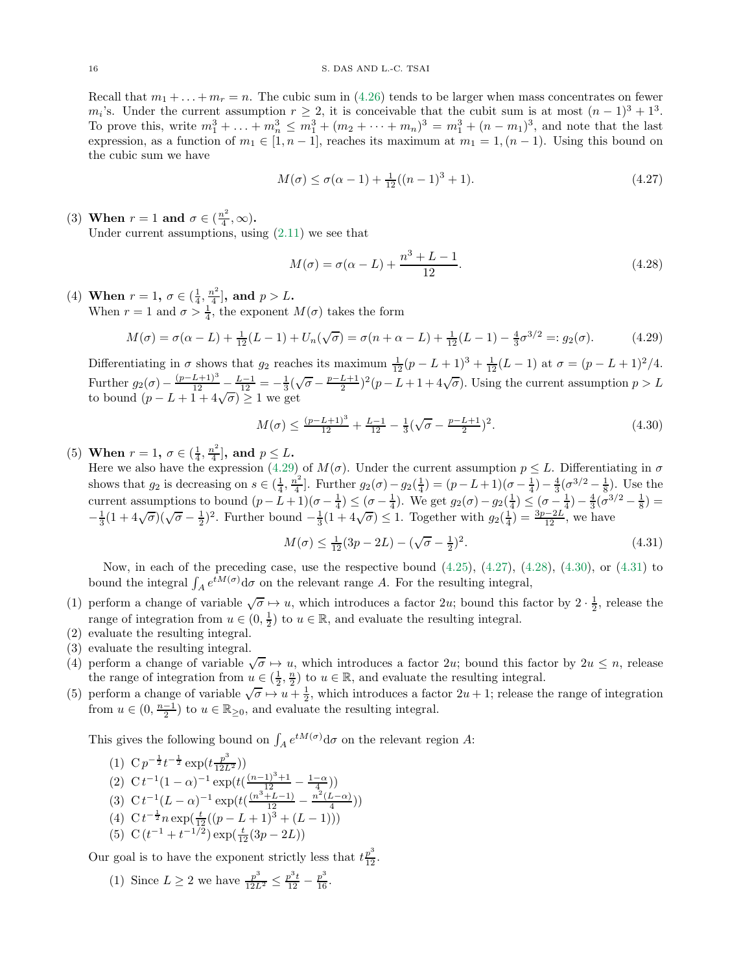Recall that  $m_1 + \ldots + m_r = n$ . The cubic sum in [\(4.26\)](#page-14-4) tends to be larger when mass concentrates on fewer m<sub>i</sub>'s. Under the current assumption  $r \geq 2$ , it is conceivable that the cubit sum is at most  $(n-1)^3 + 1^3$ . To prove this, write  $m_1^3 + \ldots + m_n^3 \le m_1^3 + (m_2 + \cdots + m_n)^3 = m_1^3 + (n - m_1)^3$ , and note that the last expression, as a function of  $m_1 \in [1, n-1]$ , reaches its maximum at  $m_1 = 1, (n-1)$ . Using this bound on the cubic sum we have

$$
M(\sigma) \le \sigma(\alpha - 1) + \frac{1}{12}((n - 1)^3 + 1). \tag{4.27}
$$

(3) When  $r = 1$  and  $\sigma \in (\frac{n^2}{4})$  $\frac{i^2}{4}, \infty$ ). Under current assumptions, using  $(2.11)$  we see that

<span id="page-15-2"></span><span id="page-15-1"></span><span id="page-15-0"></span>
$$
M(\sigma) = \sigma(\alpha - L) + \frac{n^3 + L - 1}{12}.
$$
\n(4.28)

(4) When  $r = 1, \sigma \in (\frac{1}{4}, \frac{n^2}{4})$  $\frac{p^2}{4}$ , and  $p > L$ . When  $r = 1$  and  $\sigma > \frac{1}{4}$ , the exponent  $M(\sigma)$  takes the form

$$
M(\sigma) = \sigma(\alpha - L) + \frac{1}{12}(L - 1) + U_n(\sqrt{\sigma}) = \sigma(n + \alpha - L) + \frac{1}{12}(L - 1) - \frac{4}{3}\sigma^{3/2} =: g_2(\sigma).
$$
 (4.29)

Differentiating in  $\sigma$  shows that  $g_2$  reaches its maximum  $\frac{1}{12}(p-L+1)^3 + \frac{1}{12}(L-1)$  at  $\sigma = (p-L+1)^2/4$ . Further  $g_2(\sigma) - \frac{(p-L+1)^3}{12} - \frac{L-1}{12} = -\frac{1}{3}(\sqrt{\sigma} - \frac{p-L+1}{2})^2(p-L+1+4\sqrt{\sigma})$ . Using the current assumption  $p > L$ to bound  $(p - L + 1 + 4\sqrt{\sigma}) \geq 1$  we get

$$
M(\sigma) \le \frac{(p-L+1)^3}{12} + \frac{L-1}{12} - \frac{1}{3}(\sqrt{\sigma} - \frac{p-L+1}{2})^2.
$$
 (4.30)

(5) When  $r = 1, \sigma \in (\frac{1}{4}, \frac{n^2}{4})$  $\frac{p-1}{4}$ , and  $p \leq L$ .

Here we also have the expression [\(4.29\)](#page-15-0) of  $M(\sigma)$ . Under the current assumption  $p \leq L$ . Differentiating in  $\sigma$ shows that  $g_2$  is decreasing on  $s \in (\frac{1}{4}, \frac{n^2}{4}]$ . Further  $g_2(\sigma) - g_2(\frac{1}{4}) = (p - L + 1)(\sigma - \frac{1}{4}) - \frac{4}{3}(\sigma^{3/2} - \frac{1}{8})$ . Use the shows that  $g_2$  is decreasing on  $3 \leq {(\frac{1}{4}, \frac{1}{4})}$ . Thence  $g_2(\sigma) = g_2(\frac{1}{4}) \leq {(\sigma - \frac{1}{4})}$ ,  $\frac{3}{8}$ ,  $\frac{8}{3}$ ,  $\frac{8}{3}$ ,  $\frac{8}{3}$ ,  $\frac{8}{3}$ ,  $\frac{8}{3}$ ,  $\frac{8}{3}$ ,  $\frac{8}{3}$ ,  $\frac{8}{3}$ ,  $\frac{8}{3}$ ,  $\frac{8}{3}$ ,  $-\frac{1}{3}(1+4\sqrt{\sigma})(\sqrt{\sigma}-\frac{1}{2})^2$ . Further bound  $-\frac{1}{3}(1+4\sqrt{\sigma})\leq 1$ . Together with  $g_2(\frac{1}{4})=\frac{3p-2L}{12}$ , we have

<span id="page-15-4"></span><span id="page-15-3"></span>
$$
M(\sigma) \le \frac{1}{12}(3p - 2L) - (\sqrt{\sigma} - \frac{1}{2})^2. \tag{4.31}
$$

Now, in each of the preceding case, use the respective bound [\(4.25\)](#page-14-5), [\(4.27\)](#page-15-1), [\(4.28\)](#page-15-2), [\(4.30\)](#page-15-3), or [\(4.31\)](#page-15-4) to bound the integral  $\int_A e^{tM(\sigma)} d\sigma$  on the relevant range A. For the resulting integral,

- (1) perform a change of variable  $\sqrt{\sigma} \mapsto u$ , which introduces a factor 2u; bound this factor by  $2 \cdot \frac{1}{2}$ , release the range of integration from  $u \in (0, \frac{1}{2})$  to  $u \in \mathbb{R}$ , and evaluate the resulting integral.
- (2) evaluate the resulting integral.
- (3) evaluate the resulting integral.
- (4) perform a change of variable  $\sqrt{\sigma} \mapsto u$ , which introduces a factor 2u; bound this factor by  $2u \leq n$ , release the range of integration from  $u \in (\frac{1}{2}, \frac{n}{2})$  to  $u \in \mathbb{R}$ , and evaluate the resulting integral.
- (5) perform a change of variable  $\sqrt{\sigma} \mapsto u + \frac{1}{2}$ , which introduces a factor  $2u + 1$ ; release the range of integration from  $u \in (0, \frac{n-1}{2})$  to  $u \in \mathbb{R}_{\geq 0}$ , and evaluate the resulting integral.

This gives the following bound on  $\int_A e^{tM(\sigma)} d\sigma$  on the relevant region A:

(1) 
$$
Cp^{-\frac{1}{2}}t^{-\frac{1}{2}}\exp(t\frac{p^3}{12L^2})
$$

<span id="page-15-5"></span>(2) 
$$
C t^{-1} (1 - \alpha)^{-1} \exp(t(\frac{(n-1)^3 + 1}{2}) - \frac{1 - \alpha}{4}))
$$

- <span id="page-15-6"></span>(3)  $C t^{-1} (L - \alpha)^{-1} \exp(t(\frac{(n^3 + L - 1)}{12}) - \frac{n^2 (L - \alpha)}{4}))$
- (4)  $C t^{-\frac{1}{2}} n \exp(\frac{t}{12}((p-L+1)^3 + (L-1)))$
- (5) C  $(t^{-1} + t^{-1/2}) \exp(\frac{t}{12}(3p 2L))$

Our goal is to have the exponent strictly less that  $t\frac{p^3}{12}$ .

(1) Since  $L \geq 2$  we have  $\frac{p^3}{12L^2} \leq \frac{p^3t}{12} - \frac{p^3}{16}$ .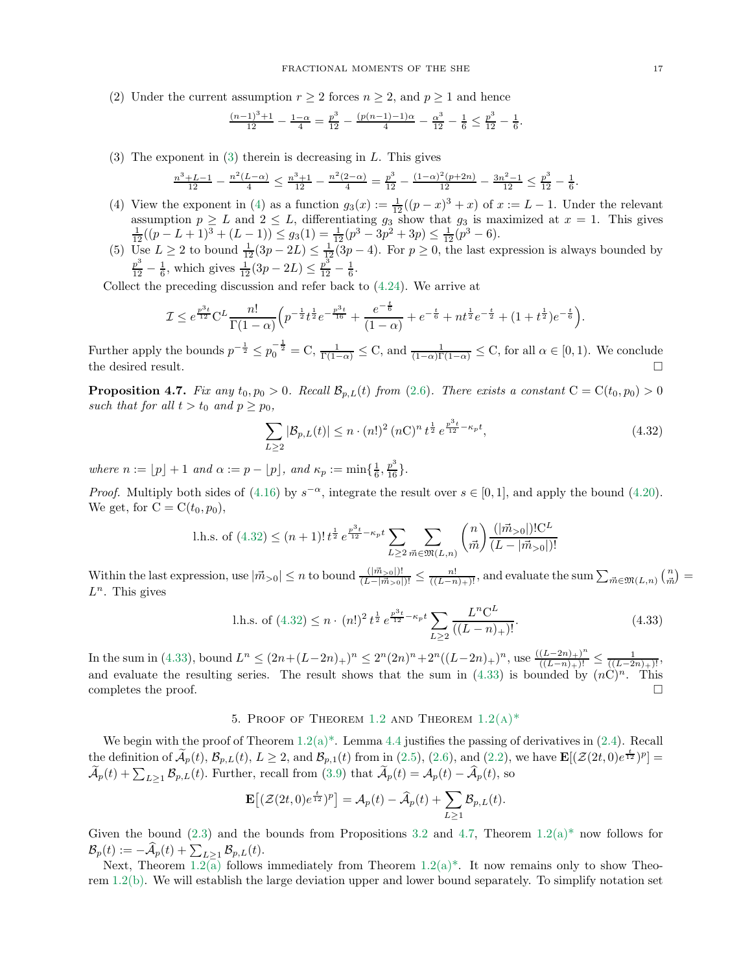(2) Under the current assumption  $r \geq 2$  forces  $n \geq 2$ , and  $p \geq 1$  and hence

$$
\frac{(n-1)^3+1}{12} - \frac{1-\alpha}{4} = \frac{p^3}{12} - \frac{(p(n-1)-1)\alpha}{4} - \frac{\alpha^3}{12} - \frac{1}{6} \le \frac{p^3}{12} - \frac{1}{6}.
$$

(3) The exponent in [\(3\)](#page-15-5) therein is decreasing in  $L$ . This gives

$$
\frac{n^3+L-1}{12} - \frac{n^2(L-\alpha)}{4} \le \frac{n^3+1}{12} - \frac{n^2(2-\alpha)}{4} = \frac{p^3}{12} - \frac{(1-\alpha)^2(p+2n)}{12} - \frac{3n^2-1}{12} \le \frac{p^3}{12} - \frac{1}{6}.
$$

- (4) View the exponent in [\(4\)](#page-15-6) as a function  $g_3(x) := \frac{1}{12}((p-x)^3 + x)$  of  $x := L 1$ . Under the relevant assumption  $p \ge L$  and  $2 \le L$ , differentiating  $g_3$  show that  $g_3$  is maximized at  $x = 1$ . This gives  $\frac{1}{12}((p - L + 1)^3 + (L - 1)) \le g_3(1) = \frac{1}{12}(p^3 - 3p^2 + 3p) \le \frac{1}{12}(p^3 - 6)$ .
- (5) Use  $L \ge 2$  to bound  $\frac{1}{12}(3p 2L) \le \frac{1}{12}(3p 4)$ . For  $p \ge 0$ , the last expression is always bounded by  $\frac{p^3}{12} - \frac{1}{6}$ , which gives  $\frac{1}{12}(3p - 2L) \le \frac{p^3}{12} - \frac{1}{6}$ .

Collect the preceding discussion and refer back to [\(4.24\)](#page-14-6). We arrive at

$$
\mathcal{I} \leq e^{\frac{p^3t}{12}} C^L \frac{n!}{\Gamma(1-\alpha)} \left( p^{-\frac{1}{2}} t^{\frac{1}{2}} e^{-\frac{p^3t}{16}} + \frac{e^{-\frac{t}{6}}}{(1-\alpha)} + e^{-\frac{t}{6}} + nt^{\frac{1}{2}} e^{-\frac{t}{2}} + (1+t^{\frac{1}{2}}) e^{-\frac{t}{6}} \right).
$$

Further apply the bounds  $p^{-\frac{1}{2}} \leq p_0^{-\frac{1}{2}} = \mathbb{C}$ ,  $\frac{1}{\Gamma(1-\alpha)} \leq \mathbb{C}$ , and  $\frac{1}{(1-\alpha)\Gamma(1-\alpha)} \leq \mathbb{C}$ , for all  $\alpha \in [0,1)$ . We conclude the desired result.  $\Box$ 

<span id="page-16-3"></span>**Proposition 4.7.** Fix any  $t_0, p_0 > 0$ . Recall  $\mathcal{B}_{p,L}(t)$  from [\(2.6\)](#page-5-3). There exists a constant  $C = C(t_0, p_0) > 0$ such that for all  $t > t_0$  and  $p \ge p_0$ ,

<span id="page-16-1"></span>
$$
\sum_{L\geq 2} |\mathcal{B}_{p,L}(t)| \leq n \cdot (n!)^2 (n!)^n t^{\frac{1}{2}} e^{\frac{p^3 t}{12} - \kappa_p t},\tag{4.32}
$$

where  $n := \lfloor p \rfloor + 1$  and  $\alpha := p - \lfloor p \rfloor$ , and  $\kappa_p := \min\{\frac{1}{6}, \frac{p^3}{16}\}.$ 

*Proof.* Multiply both sides of [\(4.16\)](#page-13-2) by  $s^{-\alpha}$ , integrate the result over  $s \in [0, 1]$ , and apply the bound [\(4.20\)](#page-14-7). We get, for  $C = C(t_0, p_0)$ ,

l.h.s. of (4.32) 
$$
\leq (n+1)!\, t^{\frac{1}{2}} e^{\frac{p^3 t}{12} - \kappa_p t} \sum_{L \geq 2} \sum_{\vec{m} \in \mathfrak{M}(L,n)} {n \choose \vec{m}} \frac{(|\vec{m}_{>0}|)! C^L}{(L - |\vec{m}_{>0}|)!}
$$

Within the last expression, use  $|\vec{m}_{>0}| \le n$  to bound  $\frac{(|\vec{m}_{>0}|)!}{(L-|\vec{m}_{>0}|)!} \le \frac{n!}{((L-n)_+)!}$ , and evaluate the sum  $\sum_{\vec{m}\in\mathfrak{M}(L,n)} {n \choose \vec{m}}$  $L^n$ . This gives

<span id="page-16-2"></span>l.h.s. of (4.32) 
$$
\leq n \cdot (n!)^2 t^{\frac{1}{2}} e^{\frac{p^3 t}{12} - \kappa_p t} \sum_{L \geq 2} \frac{L^n C^L}{((L - n)_+)!}.
$$
 (4.33)

In the sum in [\(4.33\)](#page-16-2), bound  $L^n \le (2n + (L-2n)_+)^n \le 2^n (2n)^n + 2^n ((L-2n)_+)^n$ , use  $\frac{((L-2n)_+)^n}{((L-n)_+)!} \le \frac{1}{((L-2n)_+)!}$ and evaluate the resulting series. The result shows that the sum in [\(4.33\)](#page-16-2) is bounded by  $(nC)^n$ . This completes the proof.  $\Box$ 

## 5. PROOF OF THEOREM [1.2](#page-2-0) AND THEOREM  $1.2(A)^*$

<span id="page-16-0"></span>We begin with the proof of Theorem  $1.2(a)^*$ . Lemma [4.4](#page-12-0) justifies the passing of derivatives in [\(2.4\)](#page-5-4). Recall the definition of  $\widetilde{\mathcal{A}}_p(t)$ ,  $\mathcal{B}_{p,L}(t)$ ,  $L \geq 2$ , and  $\mathcal{B}_{p,1}(t)$  from in [\(2.5\)](#page-5-2), [\(2.6\)](#page-5-3), and [\(2.2\)](#page-5-5), we have  $\mathbf{E}[(\mathcal{Z}(2t,0)e^{\frac{t}{12}})^p] =$  $\widetilde{\mathcal{A}}_p(t) + \sum_{L\geq 1} \mathcal{B}_{p,L}(t)$ . Further, recall from [\(3.9\)](#page-9-6) that  $\widetilde{\mathcal{A}}_p(t) = \mathcal{A}_p(t) - \widehat{\mathcal{A}}_p(t)$ , so

$$
\mathbf{E}\big[ (\mathcal{Z}(2t,0)e^{\frac{t}{12}})^p \big] = \mathcal{A}_p(t) - \widehat{\mathcal{A}}_p(t) + \sum_{L \ge 1} \mathcal{B}_{p,L}(t).
$$

Given the bound [\(2.3\)](#page-5-1) and the bounds from Propositions [3.2](#page-10-10) and [4.7,](#page-16-3) Theorem [1.2\(a\)\\*](#page-3-1) now follows for  $\mathcal{B}_p(t) := -\widehat{\mathcal{A}}_p(t) + \sum_{L \geq 1} \mathcal{B}_{p,L}(t).$ 

Next, Theorem  $1.2(\overline{a})$  $1.2(\overline{a})$  follows immediately from Theorem  $1.2(a)^*$  $1.2(a)^*$  $1.2(a)^*$ . It now remains only to show Theorem [1.2](#page-2-0)[\(b\).](#page-2-2) We will establish the large deviation upper and lower bound separately. To simplify notation set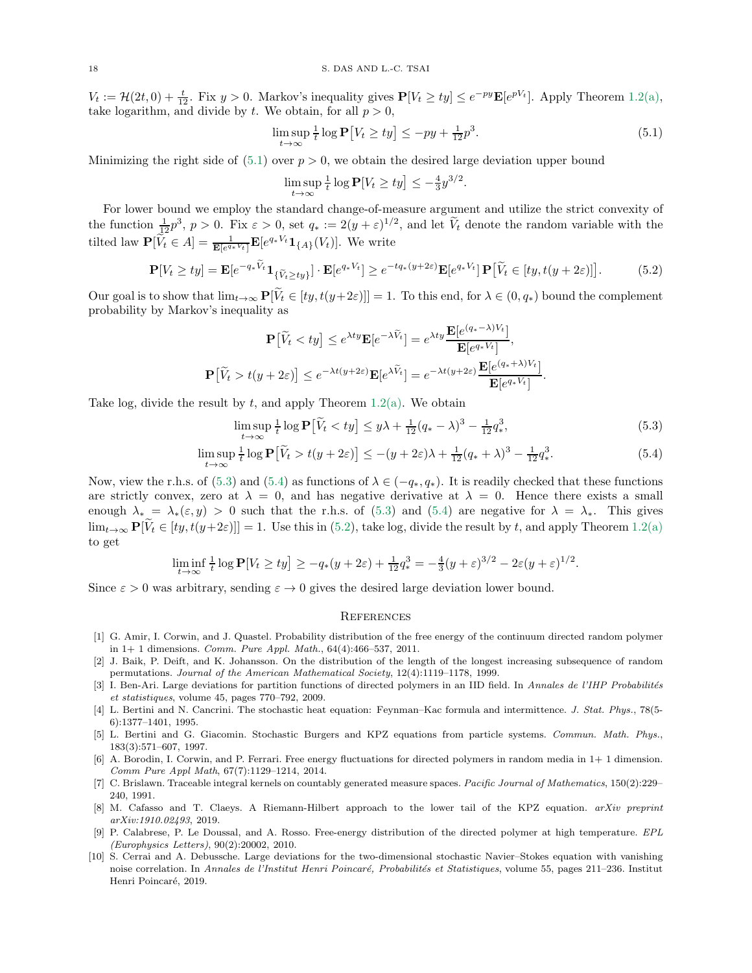$V_t := \mathcal{H}(2t, 0) + \frac{t}{12}$ . Fix  $y > 0$ . Markov's inequality gives  $\mathbf{P}[V_t \geq ty] \leq e^{-py} \mathbf{E}[e^{pV_t}]$ . Apply Theorem [1.2](#page-2-0)[\(a\),](#page-2-1) take logarithm, and divide by t. We obtain, for all  $p > 0$ ,

$$
\limsup_{t \to \infty} \frac{1}{t} \log \mathbf{P} \left[ V_t \ge ty \right] \le -py + \frac{1}{12} p^3. \tag{5.1}
$$

<span id="page-17-13"></span><span id="page-17-12"></span><span id="page-17-11"></span><span id="page-17-10"></span>.

Minimizing the right side of  $(5.1)$  over  $p > 0$ , we obtain the desired large deviation upper bound

$$
\limsup_{t \to \infty} \frac{1}{t} \log \mathbf{P}[V_t \ge ty] \le -\frac{4}{3} y^{3/2}
$$

For lower bound we employ the standard change-of-measure argument and utilize the strict convexity of the function  $\frac{1}{2}p^3$ ,  $p > 0$ . Fix  $\varepsilon > 0$ , set  $q_* := 2(y + \varepsilon)^{1/2}$ , and let  $\widetilde{V}_t$  denote the random variable with the tilted law  $\mathbf{P}[\tilde{V}_t \in A] = \frac{1}{\mathbf{E}[e^{q_* V_t}]} \mathbf{E}[e^{q_* V_t} \mathbf{1}_{\{A\}}(V_t)].$  We write

$$
\mathbf{P}[V_t \ge ty] = \mathbf{E}[e^{-q_*\widetilde{V}_t}\mathbf{1}_{\{\widetilde{V}_t \ge ty\}}] \cdot \mathbf{E}[e^{q_*V_t}] \ge e^{-tq_*(y+2\varepsilon)} \mathbf{E}[e^{q_*V_t}]\mathbf{P}[\widetilde{V}_t \in [ty, t(y+2\varepsilon)]].
$$
(5.2)

Our goal is to show that  $\lim_{t\to\infty} P[\widetilde{V}_t \in [ty, t(y+2\varepsilon)]] = 1$ . To this end, for  $\lambda \in (0, q_*)$  bound the complement probability by Markov's inequality as

$$
\mathbf{P}\big[\widetilde{V}_t < ty\big] \le e^{\lambda ty} \mathbf{E}[e^{-\lambda \widetilde{V}_t}] = e^{\lambda ty} \frac{\mathbf{E}[e^{(q_*-\lambda)V_t}]}{\mathbf{E}[e^{q_*V_t}]},
$$
\n
$$
\mathbf{P}\big[\widetilde{V}_t > t(y+2\varepsilon)\big] \le e^{-\lambda t(y+2\varepsilon)} \mathbf{E}[e^{\lambda \widetilde{V}_t}] = e^{-\lambda t(y+2\varepsilon)} \frac{\mathbf{E}[e^{(q_*+\lambda)V_t}]}{\mathbf{E}[e^{q_*V_t}]}.
$$

Take log, divide the result by  $t$ , and apply Theorem [1.2](#page-2-0)[\(a\).](#page-2-1) We obtain

$$
\limsup_{t \to \infty} \frac{1}{t} \log \mathbf{P} \left[ \tilde{V}_t < ty \right] \leq y\lambda + \frac{1}{12} (q_* - \lambda)^3 - \frac{1}{12} q_*^3,\tag{5.3}
$$

$$
\limsup_{t \to \infty} \frac{1}{t} \log \mathbf{P} \left[ \tilde{V}_t > t(y + 2\varepsilon) \right] \le -(y + 2\varepsilon)\lambda + \frac{1}{12}(q_* + \lambda)^3 - \frac{1}{12}q_*^3. \tag{5.4}
$$

Now, view the r.h.s. of [\(5.3\)](#page-17-11) and [\(5.4\)](#page-17-12) as functions of  $\lambda \in (-q_*, q_*)$ . It is readily checked that these functions are strictly convex, zero at  $\lambda = 0$ , and has negative derivative at  $\lambda = 0$ . Hence there exists a small enough  $\lambda_* = \lambda_*(\varepsilon, y) > 0$  such that the r.h.s. of [\(5.3\)](#page-17-11) and [\(5.4\)](#page-17-12) are negative for  $\lambda = \lambda_*$ . This gives  $\lim_{t\to\infty} \mathbf{P}[\tilde{V}_t \in [ty, t(y+2\varepsilon)]] = 1$ . Use this in [\(5.2\)](#page-17-13), take log, divide the result by t, and apply Theorem [1.2](#page-2-0)[\(a\)](#page-2-1) to get

$$
\liminf_{t \to \infty} \frac{1}{t} \log \mathbf{P}[V_t \ge ty] \ge -q_*(y+2\varepsilon) + \frac{1}{12}q_*^3 = -\frac{4}{3}(y+\varepsilon)^{3/2} - 2\varepsilon (y+\varepsilon)^{1/2}.
$$

Since  $\varepsilon > 0$  was arbitrary, sending  $\varepsilon \to 0$  gives the desired large deviation lower bound.

## **REFERENCES**

- <span id="page-17-3"></span>[1] G. Amir, I. Corwin, and J. Quastel. Probability distribution of the free energy of the continuum directed random polymer in 1+ 1 dimensions. *Comm. Pure Appl. Math.*, 64(4):466–537, 2011.
- <span id="page-17-7"></span>[2] J. Baik, P. Deift, and K. Johansson. On the distribution of the length of the longest increasing subsequence of random permutations. *Journal of the American Mathematical Society*, 12(4):1119–1178, 1999.
- <span id="page-17-4"></span>[3] I. Ben-Ari. Large deviations for partition functions of directed polymers in an IID field. In *Annales de l'IHP Probabilités et statistiques*, volume 45, pages 770–792, 2009.
- <span id="page-17-0"></span>[4] L. Bertini and N. Cancrini. The stochastic heat equation: Feynman–Kac formula and intermittence. *J. Stat. Phys.*, 78(5- 6):1377–1401, 1995.
- <span id="page-17-1"></span>[5] L. Bertini and G. Giacomin. Stochastic Burgers and KPZ equations from particle systems. *Commun. Math. Phys.*, 183(3):571–607, 1997.
- <span id="page-17-8"></span>[6] A. Borodin, I. Corwin, and P. Ferrari. Free energy fluctuations for directed polymers in random media in 1+ 1 dimension. *Comm Pure Appl Math*, 67(7):1129–1214, 2014.
- <span id="page-17-9"></span>[7] C. Brislawn. Traceable integral kernels on countably generated measure spaces. *Pacific Journal of Mathematics*, 150(2):229– 240, 1991.
- <span id="page-17-6"></span>[8] M. Cafasso and T. Claeys. A Riemann-Hilbert approach to the lower tail of the KPZ equation. *arXiv preprint arXiv:1910.02493*, 2019.
- <span id="page-17-2"></span>[9] P. Calabrese, P. Le Doussal, and A. Rosso. Free-energy distribution of the directed polymer at high temperature. *EPL (Europhysics Letters)*, 90(2):20002, 2010.
- <span id="page-17-5"></span>[10] S. Cerrai and A. Debussche. Large deviations for the two-dimensional stochastic Navier–Stokes equation with vanishing noise correlation. In *Annales de l'Institut Henri Poincaré, Probabilités et Statistiques*, volume 55, pages 211–236. Institut Henri Poincaré, 2019.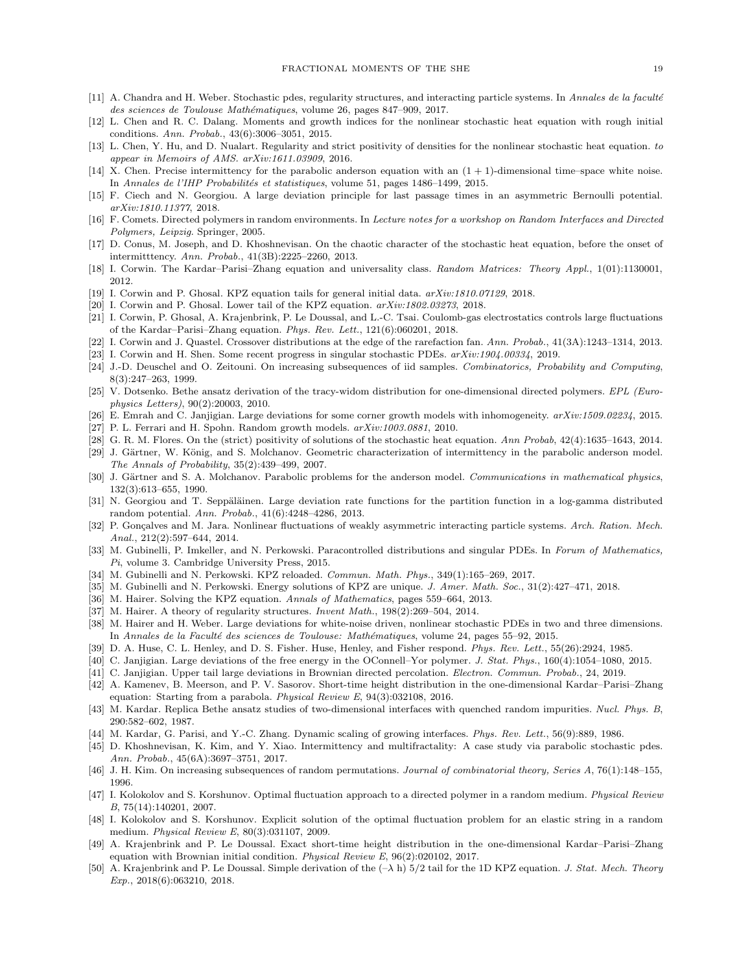- <span id="page-18-26"></span><span id="page-18-6"></span>[11] A. Chandra and H. Weber. Stochastic pdes, regularity structures, and interacting particle systems. In *Annales de la facult´e des sciences de Toulouse Math´ematiques*, volume 26, pages 847–909, 2017.
- [12] L. Chen and R. C. Dalang. Moments and growth indices for the nonlinear stochastic heat equation with rough initial conditions. *Ann. Probab.*, 43(6):3006–3051, 2015.
- <span id="page-18-29"></span>[13] L. Chen, Y. Hu, and D. Nualart. Regularity and strict positivity of densities for the nonlinear stochastic heat equation. *to appear in Memoirs of AMS. arXiv:1611.03909*, 2016.
- <span id="page-18-37"></span><span id="page-18-27"></span>[14] X. Chen. Precise intermittency for the parabolic anderson equation with an  $(1 + 1)$ -dimensional time–space white noise. In *Annales de l'IHP Probabilités et statistiques*, volume 51, pages 1486-1499, 2015.
- [15] F. Ciech and N. Georgiou. A large deviation principle for last passage times in an asymmetric Bernoulli potential. *arXiv:1810.11377*, 2018.
- <span id="page-18-2"></span>[16] F. Comets. Directed polymers in random environments. In *Lecture notes for a workshop on Random Interfaces and Directed Polymers, Leipzig*. Springer, 2005.
- <span id="page-18-25"></span>[17] D. Conus, M. Joseph, and D. Khoshnevisan. On the chaotic character of the stochastic heat equation, before the onset of intermitttency. *Ann. Probab.*, 41(3B):2225–2260, 2013.
- <span id="page-18-31"></span><span id="page-18-5"></span>[18] I. Corwin. The Kardar–Parisi–Zhang equation and universality class. *Random Matrices: Theory Appl.*, 1(01):1130001, 2012.
- <span id="page-18-22"></span>[19] I. Corwin and P. Ghosal. KPZ equation tails for general initial data. *arXiv:1810.07129*, 2018.
- <span id="page-18-21"></span>[20] I. Corwin and P. Ghosal. Lower tail of the KPZ equation. *arXiv:1802.03273*, 2018.
- [21] I. Corwin, P. Ghosal, A. Krajenbrink, P. Le Doussal, and L.-C. Tsai. Coulomb-gas electrostatics controls large fluctuations of the Kardar–Parisi–Zhang equation. *Phys. Rev. Lett.*, 121(6):060201, 2018.
- <span id="page-18-30"></span><span id="page-18-7"></span>[22] I. Corwin and J. Quastel. Crossover distributions at the edge of the rarefaction fan. *Ann. Probab.*, 41(3A):1243–1314, 2013.
- <span id="page-18-34"></span>[23] I. Corwin and H. Shen. Some recent progress in singular stochastic PDEs. *arXiv:1904.00334*, 2019.
- [24] J.-D. Deuschel and O. Zeitouni. On increasing subsequences of iid samples. *Combinatorics, Probability and Computing*, 8(3):247–263, 1999.
- <span id="page-18-15"></span>[25] V. Dotsenko. Bethe ansatz derivation of the tracy-widom distribution for one-dimensional directed polymers. *EPL (Europhysics Letters)*, 90(2):20003, 2010.
- <span id="page-18-39"></span><span id="page-18-4"></span>[26] E. Emrah and C. Janjigian. Large deviations for some corner growth models with inhomogeneity. *arXiv:1509.02234*, 2015.
- <span id="page-18-8"></span>[27] P. L. Ferrari and H. Spohn. Random growth models. *arXiv:1003.0881*, 2010.
- <span id="page-18-24"></span>[28] G. R. M. Flores. On the (strict) positivity of solutions of the stochastic heat equation. *Ann Probab*, 42(4):1635–1643, 2014.
- [29] J. Gärtner, W. König, and S. Molchanov. Geometric characterization of intermittency in the parabolic anderson model. *The Annals of Probability*, 35(2):439–499, 2007.
- <span id="page-18-23"></span>[30] J. Gärtner and S. A. Molchanov. Parabolic problems for the anderson model. *Communications in mathematical physics*, 132(3):613–655, 1990.
- <span id="page-18-35"></span>[31] N. Georgiou and T. Seppäläinen. Large deviation rate functions for the partition function in a log-gamma distributed random potential. *Ann. Probab.*, 41(6):4248–4286, 2013.
- <span id="page-18-13"></span>[32] P. Gonçalves and M. Jara. Nonlinear fluctuations of weakly asymmetric interacting particle systems. Arch. Ration. Mech. *Anal.*, 212(2):597–644, 2014.
- <span id="page-18-11"></span>[33] M. Gubinelli, P. Imkeller, and N. Perkowski. Paracontrolled distributions and singular PDEs. In *Forum of Mathematics, Pi*, volume 3. Cambridge University Press, 2015.
- <span id="page-18-14"></span><span id="page-18-12"></span>[34] M. Gubinelli and N. Perkowski. KPZ reloaded. *Commun. Math. Phys.*, 349(1):165–269, 2017.
- <span id="page-18-9"></span>[35] M. Gubinelli and N. Perkowski. Energy solutions of KPZ are unique. *J. Amer. Math. Soc.*, 31(2):427–471, 2018.
- <span id="page-18-10"></span>[36] M. Hairer. Solving the KPZ equation. *Annals of Mathematics*, pages 559–664, 2013.
- <span id="page-18-20"></span>[37] M. Hairer. A theory of regularity structures. *Invent Math.*, 198(2):269–504, 2014.
- [38] M. Hairer and H. Weber. Large deviations for white-noise driven, nonlinear stochastic PDEs in two and three dimensions. In *Annales de la Facult´e des sciences de Toulouse: Math´ematiques*, volume 24, pages 55–92, 2015.
- <span id="page-18-36"></span><span id="page-18-1"></span>[39] D. A. Huse, C. L. Henley, and D. S. Fisher. Huse, Henley, and Fisher respond. *Phys. Rev. Lett.*, 55(26):2924, 1985.
- <span id="page-18-38"></span>[40] C. Janjigian. Large deviations of the free energy in the OConnell–Yor polymer. *J. Stat. Phys.*, 160(4):1054–1080, 2015.
- <span id="page-18-0"></span>[41] C. Janjigian. Upper tail large deviations in Brownian directed percolation. *Electron. Commun. Probab.*, 24, 2019.
- [42] A. Kamenev, B. Meerson, and P. V. Sasorov. Short-time height distribution in the one-dimensional Kardar–Parisi–Zhang equation: Starting from a parabola. *Physical Review E*, 94(3):032108, 2016.
- <span id="page-18-32"></span>[43] M. Kardar. Replica Bethe ansatz studies of two-dimensional interfaces with quenched random impurities. *Nucl. Phys. B*, 290:582–602, 1987.
- <span id="page-18-28"></span><span id="page-18-3"></span>[44] M. Kardar, G. Parisi, and Y.-C. Zhang. Dynamic scaling of growing interfaces. *Phys. Rev. Lett.*, 56(9):889, 1986.
- [45] D. Khoshnevisan, K. Kim, and Y. Xiao. Intermittency and multifractality: A case study via parabolic stochastic pdes. *Ann. Probab.*, 45(6A):3697–3751, 2017.
- <span id="page-18-33"></span><span id="page-18-16"></span>[46] J. H. Kim. On increasing subsequences of random permutations. *Journal of combinatorial theory, Series A*, 76(1):148–155, 1996.
- [47] I. Kolokolov and S. Korshunov. Optimal fluctuation approach to a directed polymer in a random medium. *Physical Review B*, 75(14):140201, 2007.
- <span id="page-18-17"></span>[48] I. Kolokolov and S. Korshunov. Explicit solution of the optimal fluctuation problem for an elastic string in a random medium. *Physical Review E*, 80(3):031107, 2009.
- <span id="page-18-18"></span>[49] A. Krajenbrink and P. Le Doussal. Exact short-time height distribution in the one-dimensional Kardar–Parisi–Zhang equation with Brownian initial condition. *Physical Review E*, 96(2):020102, 2017.
- <span id="page-18-19"></span>[50] A. Krajenbrink and P. Le Doussal. Simple derivation of the (–λ h) 5/2 tail for the 1D KPZ equation. *J. Stat. Mech. Theory Exp.*, 2018(6):063210, 2018.